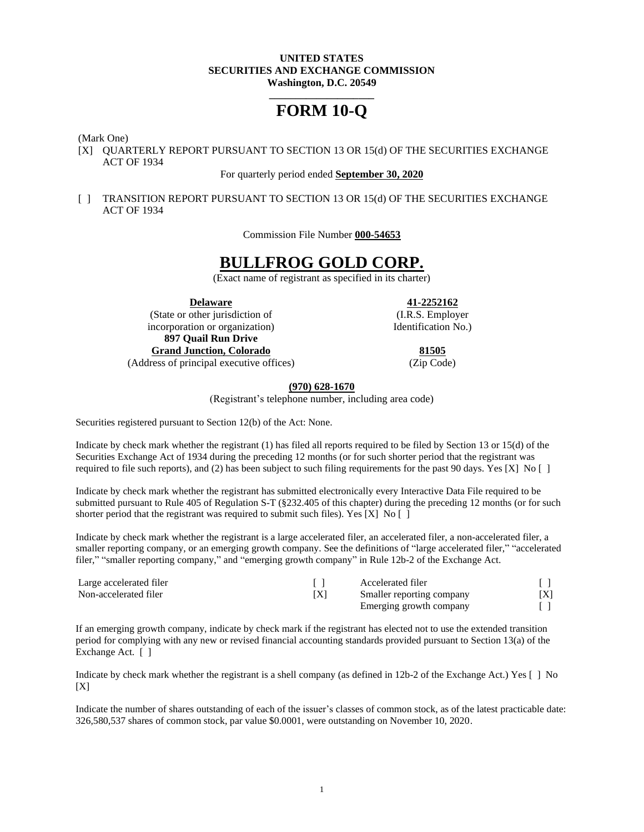#### **UNITED STATES SECURITIES AND EXCHANGE COMMISSION Washington, D.C. 20549**

# **\_\_\_\_\_\_\_\_\_\_\_\_\_\_\_\_\_\_\_\_ FORM 10-Q**

(Mark One)

[X] QUARTERLY REPORT PURSUANT TO SECTION 13 OR 15(d) OF THE SECURITIES EXCHANGE ACT OF 1934

#### For quarterly period ended **September 30, 2020**

[ ] TRANSITION REPORT PURSUANT TO SECTION 13 OR 15(d) OF THE SECURITIES EXCHANGE ACT OF 1934

Commission File Number **000-54653**

# **BULLFROG GOLD CORP.**

(Exact name of registrant as specified in its charter)

(State or other jurisdiction of (I.R.S. Employer incorporation or organization) Identification No. **897 Quail Run Drive Grand Junction, Colorado 81505** (Address of principal executive offices) (Zip Code)

**Delaware 41-2252162**

#### **(970) 628-1670**

(Registrant's telephone number, including area code)

Securities registered pursuant to Section 12(b) of the Act: None.

Indicate by check mark whether the registrant (1) has filed all reports required to be filed by Section 13 or 15(d) of the Securities Exchange Act of 1934 during the preceding 12 months (or for such shorter period that the registrant was required to file such reports), and (2) has been subject to such filing requirements for the past 90 days. Yes [X] No  $[ \ ]$ 

Indicate by check mark whether the registrant has submitted electronically every Interactive Data File required to be submitted pursuant to Rule 405 of Regulation S-T (§232.405 of this chapter) during the preceding 12 months (or for such shorter period that the registrant was required to submit such files). Yes [X] No [ ]

Indicate by check mark whether the registrant is a large accelerated filer, an accelerated filer, a non-accelerated filer, a smaller reporting company, or an emerging growth company. See the definitions of "large accelerated filer," "accelerated filer," "smaller reporting company," and "emerging growth company" in Rule 12b-2 of the Exchange Act.

| Large accelerated filer |     | Accelerated filer         |     |
|-------------------------|-----|---------------------------|-----|
| Non-accelerated filer   | ΓX] | Smaller reporting company | ιΔI |
|                         |     | Emerging growth company   |     |

If an emerging growth company, indicate by check mark if the registrant has elected not to use the extended transition period for complying with any new or revised financial accounting standards provided pursuant to Section 13(a) of the Exchange Act. [ ]

Indicate by check mark whether the registrant is a shell company (as defined in 12b-2 of the Exchange Act.) Yes [ ] No  $[X]$ 

Indicate the number of shares outstanding of each of the issuer's classes of common stock, as of the latest practicable date: 326,580,537 shares of common stock, par value \$0.0001, were outstanding on November 10, 2020.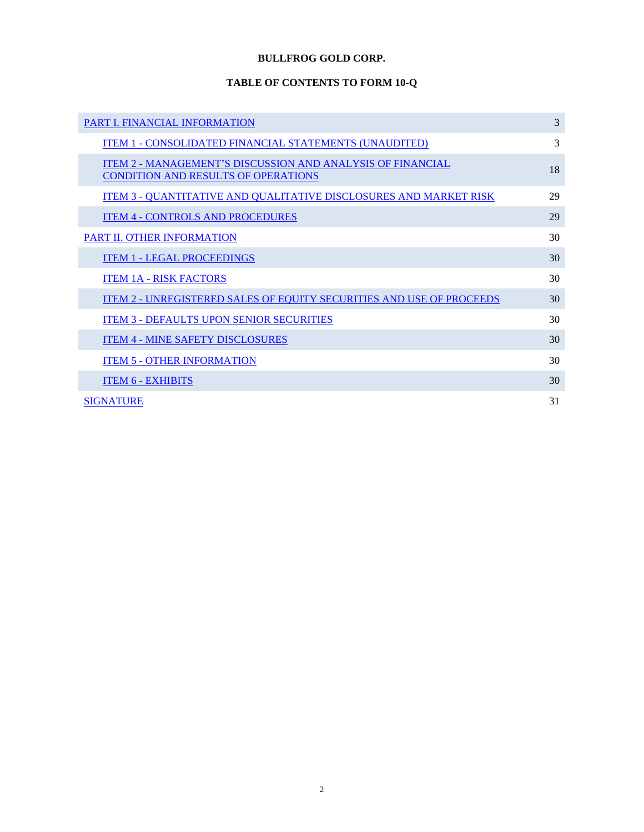# **BULLFROG GOLD CORP.**

# **TABLE OF CONTENTS TO FORM 10-Q**

| <b>PART I. FINANCIAL INFORMATION</b>                                                                            | 3  |
|-----------------------------------------------------------------------------------------------------------------|----|
| <u>ITEM 1 - CONSOLIDATED FINANCIAL STATEMENTS (UNAUDITED)</u>                                                   | 3  |
| <b>ITEM 2 - MANAGEMENT'S DISCUSSION AND ANALYSIS OF FINANCIAL</b><br><b>CONDITION AND RESULTS OF OPERATIONS</b> | 18 |
| <u>ITEM 3 - QUANTITATIVE AND QUALITATIVE DISCLOSURES AND MARKET RISK</u>                                        | 29 |
| <b>ITEM 4 - CONTROLS AND PROCEDURES</b>                                                                         | 29 |
| <b>PART II. OTHER INFORMATION</b>                                                                               | 30 |
| <b>ITEM 1 - LEGAL PROCEEDINGS</b>                                                                               | 30 |
| <b>ITEM 1A - RISK FACTORS</b>                                                                                   | 30 |
| <b>ITEM 2 - UNREGISTERED SALES OF EQUITY SECURITIES AND USE OF PROCEEDS</b>                                     | 30 |
| <b>ITEM 3 - DEFAULTS UPON SENIOR SECURITIES</b>                                                                 | 30 |
| <b>ITEM 4 - MINE SAFETY DISCLOSURES</b>                                                                         | 30 |
| <b>ITEM 5 - OTHER INFORMATION</b>                                                                               | 30 |
| <b>ITEM 6 - EXHIBITS</b>                                                                                        | 30 |
| <b>SIGNATURE</b>                                                                                                | 31 |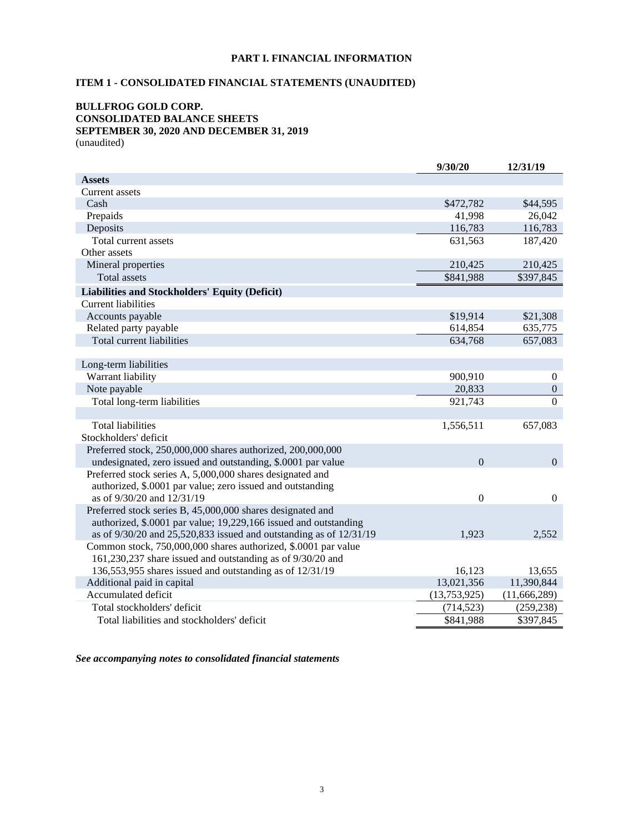# **PART I. FINANCIAL INFORMATION**

# <span id="page-2-1"></span><span id="page-2-0"></span>**ITEM 1 - CONSOLIDATED FINANCIAL STATEMENTS (UNAUDITED)**

#### **BULLFROG GOLD CORP. CONSOLIDATED BALANCE SHEETS SEPTEMBER 30, 2020 AND DECEMBER 31, 2019** (unaudited)

|                                                                          | 9/30/20        | 12/31/19         |
|--------------------------------------------------------------------------|----------------|------------------|
| <b>Assets</b>                                                            |                |                  |
| <b>Current assets</b>                                                    |                |                  |
| Cash                                                                     | \$472,782      | \$44,595         |
| Prepaids                                                                 | 41,998         | 26,042           |
| Deposits                                                                 | 116,783        | 116,783          |
| Total current assets                                                     | 631,563        | 187,420          |
| Other assets                                                             |                |                  |
| Mineral properties                                                       | 210,425        | 210,425          |
| <b>Total assets</b>                                                      | \$841,988      | \$397,845        |
| <b>Liabilities and Stockholders' Equity (Deficit)</b>                    |                |                  |
| <b>Current liabilities</b>                                               |                |                  |
| Accounts payable                                                         | \$19,914       | \$21,308         |
| Related party payable                                                    | 614,854        | 635,775          |
| Total current liabilities                                                | 634,768        | 657,083          |
|                                                                          |                |                  |
| Long-term liabilities                                                    |                |                  |
| Warrant liability                                                        | 900,910        | $\boldsymbol{0}$ |
| Note payable                                                             | 20,833         | $\boldsymbol{0}$ |
| Total long-term liabilities                                              | 921,743        | $\Omega$         |
|                                                                          |                |                  |
| <b>Total liabilities</b>                                                 | 1,556,511      | 657,083          |
| Stockholders' deficit                                                    |                |                  |
| Preferred stock, 250,000,000 shares authorized, 200,000,000              |                |                  |
| undesignated, zero issued and outstanding, \$.0001 par value             | $\overline{0}$ | $\mathbf{0}$     |
| Preferred stock series A, 5,000,000 shares designated and                |                |                  |
| authorized, \$.0001 par value; zero issued and outstanding               |                |                  |
| as of 9/30/20 and 12/31/19                                               | $\overline{0}$ | $\overline{0}$   |
| Preferred stock series B, 45,000,000 shares designated and               |                |                  |
| authorized, \$.0001 par value; 19,229,166 issued and outstanding         |                |                  |
| as of $9/30/20$ and $25,520,833$ issued and outstanding as of $12/31/19$ | 1,923          | 2,552            |
| Common stock, 750,000,000 shares authorized, \$.0001 par value           |                |                  |
| 161,230,237 share issued and outstanding as of 9/30/20 and               |                |                  |
| 136,553,955 shares issued and outstanding as of 12/31/19                 | 16,123         | 13,655           |
| Additional paid in capital                                               | 13,021,356     | 11,390,844       |
| Accumulated deficit                                                      | (13,753,925)   | (11,666,289)     |
| Total stockholders' deficit                                              | (714, 523)     | (259, 238)       |
| Total liabilities and stockholders' deficit                              | \$841,988      | \$397,845        |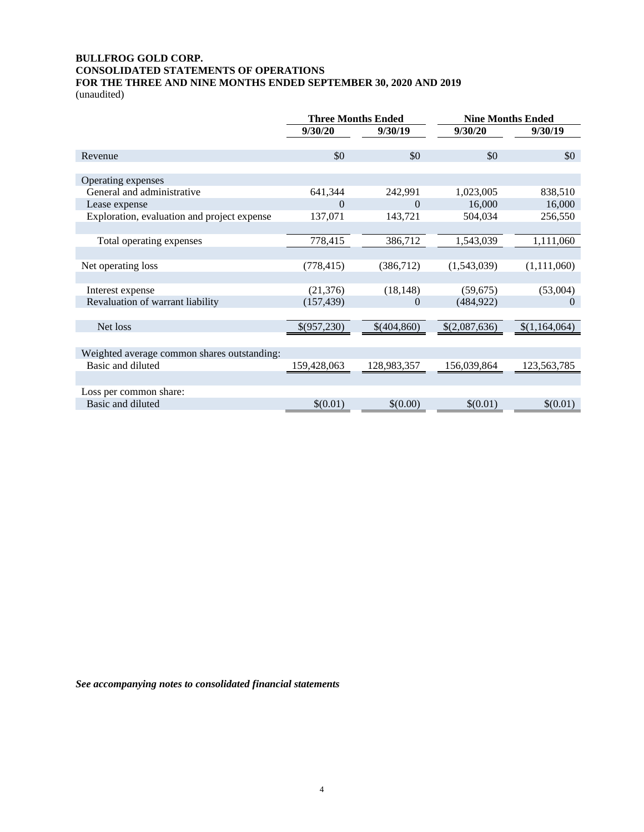# **BULLFROG GOLD CORP. CONSOLIDATED STATEMENTS OF OPERATIONS FOR THE THREE AND NINE MONTHS ENDED SEPTEMBER 30, 2020 AND 2019**

(unaudited)

|                                             |             | <b>Three Months Ended</b> | <b>Nine Months Ended</b> |               |  |
|---------------------------------------------|-------------|---------------------------|--------------------------|---------------|--|
|                                             | 9/30/20     | 9/30/19                   | 9/30/20                  | 9/30/19       |  |
|                                             |             |                           |                          |               |  |
| Revenue                                     | \$0         | \$0                       | \$0                      | \$0           |  |
|                                             |             |                           |                          |               |  |
| Operating expenses                          |             |                           |                          |               |  |
| General and administrative                  | 641,344     | 242,991                   | 1,023,005                | 838,510       |  |
| Lease expense                               | $\theta$    | $\Omega$                  | 16,000                   | 16,000        |  |
| Exploration, evaluation and project expense | 137,071     | 143,721                   | 504,034                  | 256,550       |  |
|                                             |             |                           |                          |               |  |
| Total operating expenses                    | 778,415     | 386,712                   | 1,543,039                | 1,111,060     |  |
|                                             |             |                           |                          |               |  |
| Net operating loss                          | (778, 415)  | (386,712)                 | (1,543,039)              | (1, 111, 060) |  |
|                                             |             |                           |                          |               |  |
| Interest expense                            | (21, 376)   | (18, 148)                 | (59,675)                 | (53,004)      |  |
| Revaluation of warrant liability            | (157, 439)  | $\theta$                  | (484, 922)               | $\Omega$      |  |
|                                             |             |                           |                          |               |  |
| Net loss                                    | \$(957,230) | \$(404,860)               | \$(2,087,636)            | \$(1,164,064) |  |
|                                             |             |                           |                          |               |  |
| Weighted average common shares outstanding: |             |                           |                          |               |  |
| Basic and diluted                           | 159,428,063 | 128,983,357               | 156,039,864              | 123,563,785   |  |
|                                             |             |                           |                          |               |  |
| Loss per common share:                      |             |                           |                          |               |  |
| Basic and diluted                           | \$(0.01)    | \$(0.00)                  | \$(0.01)                 | \$(0.01)      |  |
|                                             |             |                           |                          |               |  |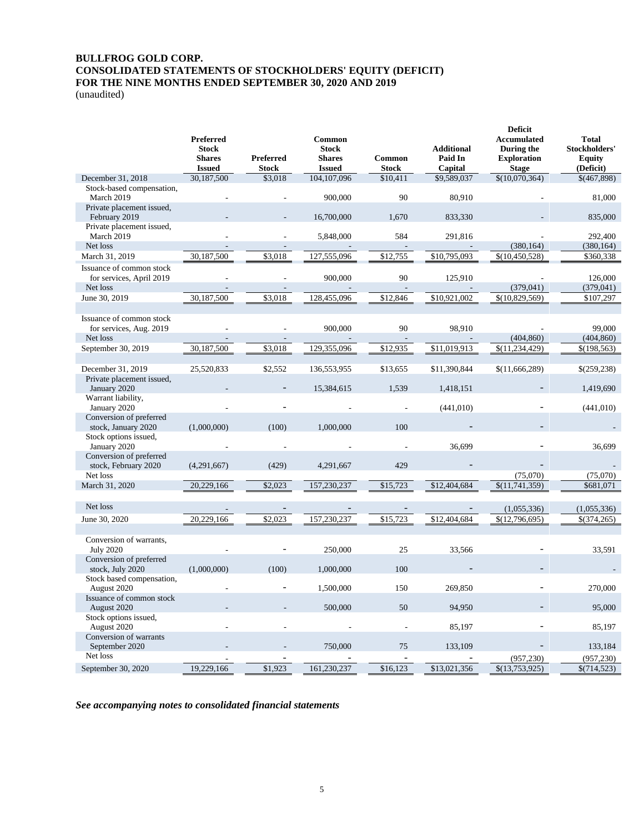# **BULLFROG GOLD CORP. CONSOLIDATED STATEMENTS OF STOCKHOLDERS' EQUITY (DEFICIT) FOR THE NINE MONTHS ENDED SEPTEMBER 30, 2020 AND 2019**

(unaudited)

|                                                                  | Preferred<br><b>Stock</b><br><b>Shares</b><br><b>Issued</b> | <b>Preferred</b><br><b>Stock</b> | Common<br><b>Stock</b><br><b>Shares</b><br><b>Issued</b> | Common<br><b>Stock</b> | <b>Additional</b><br>Paid In<br>Capital | <b>Deficit</b><br><b>Accumulated</b><br>During the<br><b>Exploration</b><br><b>Stage</b> | <b>Total</b><br>Stockholders'<br><b>Equity</b><br>(Deficit) |
|------------------------------------------------------------------|-------------------------------------------------------------|----------------------------------|----------------------------------------------------------|------------------------|-----------------------------------------|------------------------------------------------------------------------------------------|-------------------------------------------------------------|
| December 31, 2018                                                | 30,187,500                                                  | \$3,018                          | 104, 107, 096                                            | \$10,411               | \$9,589,037                             | \$(10,070,364)                                                                           | \$(467,898)                                                 |
| Stock-based compensation,<br>March 2019                          |                                                             |                                  | 900,000                                                  | 90                     | 80,910                                  |                                                                                          | 81,000                                                      |
| Private placement issued,<br>February 2019                       |                                                             |                                  | 16,700,000                                               | 1,670                  | 833,330                                 |                                                                                          | 835,000                                                     |
| Private placement issued,<br>March 2019                          |                                                             |                                  | 5,848,000                                                | 584                    | 291,816                                 |                                                                                          | 292,400                                                     |
| Net loss                                                         |                                                             | $\overline{\phantom{a}}$         |                                                          |                        |                                         | (380, 164)                                                                               | (380, 164)                                                  |
| March 31, 2019                                                   | 30,187,500                                                  | \$3,018                          | 127,555,096                                              | \$12,755               | \$10,795,093                            | \$(10, 450, 528)                                                                         | \$360,338                                                   |
| Issuance of common stock<br>for services, April 2019<br>Net loss |                                                             |                                  | 900,000                                                  | 90                     | 125.910                                 | (379, 041)                                                                               | 126,000<br>(379, 041)                                       |
| June 30, 2019                                                    | 30,187,500                                                  | \$3,018                          | 128,455,096                                              | \$12,846               | \$10,921,002                            | \$(10,829,569)                                                                           | \$107,297                                                   |
| Issuance of common stock                                         |                                                             |                                  |                                                          |                        |                                         |                                                                                          |                                                             |
| for services, Aug. 2019                                          |                                                             |                                  | 900,000                                                  | 90                     | 98,910                                  |                                                                                          | 99,000                                                      |
| Net loss                                                         | $\overline{a}$                                              | $\overline{\phantom{a}}$         |                                                          | ÷.                     |                                         | (404, 860)                                                                               | (404, 860)                                                  |
| September 30, 2019                                               | 30,187,500                                                  | \$3,018                          | 129,355,096                                              | \$12,935               | \$11,019,913                            | \$(11, 234, 429)                                                                         | \$(198,563)                                                 |
|                                                                  |                                                             |                                  |                                                          |                        |                                         |                                                                                          |                                                             |
| December 31, 2019                                                | 25,520,833                                                  | \$2,552                          | 136,553,955                                              | \$13,655               | \$11,390,844                            | \$(11,666,289)                                                                           | \$(259,238)                                                 |
| Private placement issued,<br>January 2020                        |                                                             |                                  | 15,384,615                                               | 1,539                  | 1,418,151                               |                                                                                          | 1,419,690                                                   |
| Warrant liability,<br>January 2020                               |                                                             | ÷,                               |                                                          |                        | (441, 010)                              |                                                                                          | (441, 010)                                                  |
| Conversion of preferred<br>stock, January 2020                   | (1,000,000)                                                 | (100)                            | 1,000,000                                                | 100                    |                                         |                                                                                          |                                                             |
| Stock options issued,<br>January 2020                            |                                                             |                                  |                                                          |                        | 36,699                                  |                                                                                          | 36,699                                                      |
| Conversion of preferred                                          |                                                             |                                  |                                                          |                        |                                         |                                                                                          |                                                             |
| stock, February 2020<br>Net loss                                 | (4,291,667)                                                 | (429)                            | 4,291,667                                                | 429                    |                                         | (75,070)                                                                                 | (75,070)                                                    |
| March 31, 2020                                                   | 20,229,166                                                  | \$2,023                          | 157,230,237                                              | \$15,723               | \$12,404,684                            | \$(11,741,359)                                                                           | \$681,071                                                   |
|                                                                  |                                                             |                                  |                                                          |                        |                                         |                                                                                          |                                                             |
| Net loss                                                         |                                                             |                                  |                                                          |                        |                                         | (1,055,336)                                                                              | (1,055,336)                                                 |
| June 30, 2020                                                    | 20,229,166                                                  | \$2,023                          | 157,230,237                                              | \$15,723               | \$12,404,684                            | \$(12,796,695)                                                                           | \$(374,265)                                                 |
|                                                                  |                                                             |                                  |                                                          |                        |                                         |                                                                                          |                                                             |
| Conversion of warrants,<br><b>July 2020</b>                      |                                                             |                                  | 250,000                                                  | 25                     | 33,566                                  |                                                                                          | 33,591                                                      |
| Conversion of preferred                                          |                                                             |                                  |                                                          | 100                    |                                         |                                                                                          |                                                             |
| stock, July 2020<br>Stock based compensation,                    | (1,000,000)                                                 | (100)                            | 1,000,000                                                |                        |                                         |                                                                                          |                                                             |
| August 2020                                                      |                                                             |                                  | 1,500,000                                                | 150                    | 269,850                                 |                                                                                          | 270,000                                                     |
| Issuance of common stock<br>August 2020                          |                                                             |                                  | 500,000                                                  | 50                     | 94,950                                  |                                                                                          | 95,000                                                      |
| Stock options issued,<br>August 2020                             |                                                             |                                  |                                                          |                        | 85,197                                  |                                                                                          | 85,197                                                      |
| Conversion of warrants<br>September 2020                         |                                                             |                                  | 750,000                                                  | 75                     | 133,109                                 |                                                                                          | 133,184                                                     |
| Net loss                                                         |                                                             |                                  |                                                          |                        |                                         | (957, 230)                                                                               | (957, 230)                                                  |
| September 30, 2020                                               | 19,229,166                                                  | \$1,923                          | 161,230,237                                              | \$16,123               | \$13,021,356                            | \$(13,753,925)                                                                           | \$(714,523)                                                 |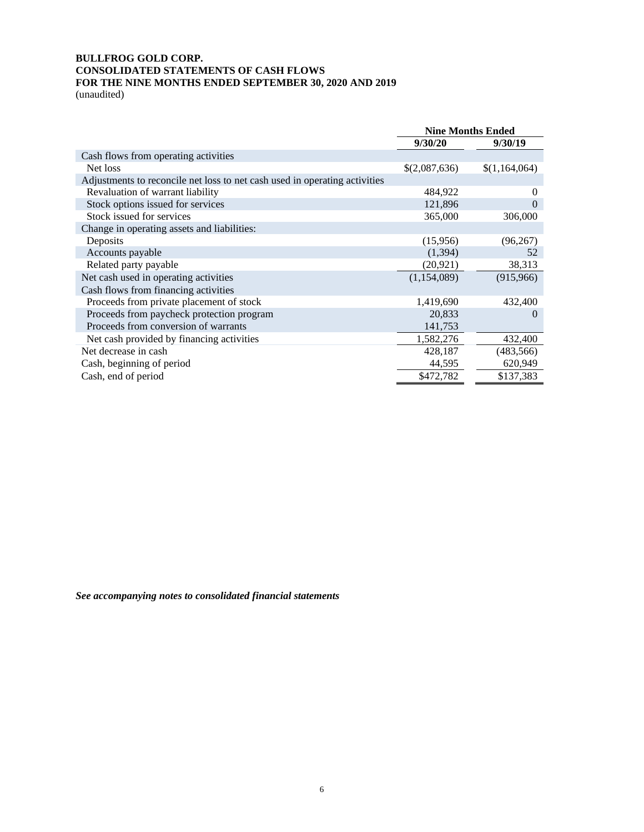# **BULLFROG GOLD CORP. CONSOLIDATED STATEMENTS OF CASH FLOWS FOR THE NINE MONTHS ENDED SEPTEMBER 30, 2020 AND 2019**

(unaudited)

|                                                                            | <b>Nine Months Ended</b> |               |
|----------------------------------------------------------------------------|--------------------------|---------------|
|                                                                            | 9/30/20                  | 9/30/19       |
| Cash flows from operating activities                                       |                          |               |
| Net loss                                                                   | \$(2,087,636)            | \$(1,164,064) |
| Adjustments to reconcile net loss to net cash used in operating activities |                          |               |
| Revaluation of warrant liability                                           | 484,922                  | $\theta$      |
| Stock options issued for services                                          | 121,896                  | 0             |
| Stock issued for services                                                  | 365,000                  | 306,000       |
| Change in operating assets and liabilities:                                |                          |               |
| Deposits                                                                   | (15,956)                 | (96, 267)     |
| Accounts payable                                                           | (1,394)                  | 52            |
| Related party payable                                                      | (20, 921)                | 38,313        |
| Net cash used in operating activities                                      | (1, 154, 089)            | (915, 966)    |
| Cash flows from financing activities                                       |                          |               |
| Proceeds from private placement of stock                                   | 1,419,690                | 432,400       |
| Proceeds from paycheck protection program                                  | 20,833                   | $\Omega$      |
| Proceeds from conversion of warrants                                       | 141,753                  |               |
| Net cash provided by financing activities                                  | 1,582,276                | 432,400       |
| Net decrease in cash                                                       | 428,187                  | (483, 566)    |
| Cash, beginning of period                                                  | 44,595                   | 620,949       |
| Cash, end of period                                                        | \$472,782                | \$137,383     |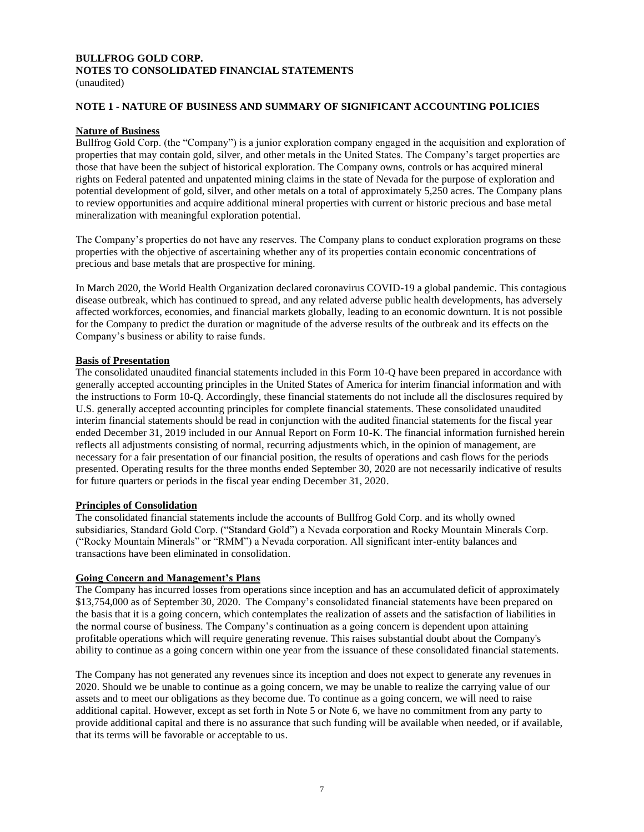# **BULLFROG GOLD CORP. NOTES TO CONSOLIDATED FINANCIAL STATEMENTS**

#### (unaudited)

#### **NOTE 1 - NATURE OF BUSINESS AND SUMMARY OF SIGNIFICANT ACCOUNTING POLICIES**

#### **Nature of Business**

Bullfrog Gold Corp. (the "Company") is a junior exploration company engaged in the acquisition and exploration of properties that may contain gold, silver, and other metals in the United States. The Company's target properties are those that have been the subject of historical exploration. The Company owns, controls or has acquired mineral rights on Federal patented and unpatented mining claims in the state of Nevada for the purpose of exploration and potential development of gold, silver, and other metals on a total of approximately 5,250 acres. The Company plans to review opportunities and acquire additional mineral properties with current or historic precious and base metal mineralization with meaningful exploration potential.

The Company's properties do not have any reserves. The Company plans to conduct exploration programs on these properties with the objective of ascertaining whether any of its properties contain economic concentrations of precious and base metals that are prospective for mining.

In March 2020, the World Health Organization declared coronavirus COVID-19 a global pandemic. This contagious disease outbreak, which has continued to spread, and any related adverse public health developments, has adversely affected workforces, economies, and financial markets globally, leading to an economic downturn. It is not possible for the Company to predict the duration or magnitude of the adverse results of the outbreak and its effects on the Company's business or ability to raise funds.

#### **Basis of Presentation**

The consolidated unaudited financial statements included in this Form 10-Q have been prepared in accordance with generally accepted accounting principles in the United States of America for interim financial information and with the instructions to Form 10-Q. Accordingly, these financial statements do not include all the disclosures required by U.S. generally accepted accounting principles for complete financial statements. These consolidated unaudited interim financial statements should be read in conjunction with the audited financial statements for the fiscal year ended December 31, 2019 included in our Annual Report on Form 10-K. The financial information furnished herein reflects all adjustments consisting of normal, recurring adjustments which, in the opinion of management, are necessary for a fair presentation of our financial position, the results of operations and cash flows for the periods presented. Operating results for the three months ended September 30, 2020 are not necessarily indicative of results for future quarters or periods in the fiscal year ending December 31, 2020.

#### **Principles of Consolidation**

The consolidated financial statements include the accounts of Bullfrog Gold Corp. and its wholly owned subsidiaries, Standard Gold Corp. ("Standard Gold") a Nevada corporation and Rocky Mountain Minerals Corp. ("Rocky Mountain Minerals" or "RMM") a Nevada corporation. All significant inter-entity balances and transactions have been eliminated in consolidation.

#### **Going Concern and Management's Plans**

The Company has incurred losses from operations since inception and has an accumulated deficit of approximately \$13,754,000 as of September 30, 2020. The Company's consolidated financial statements have been prepared on the basis that it is a going concern, which contemplates the realization of assets and the satisfaction of liabilities in the normal course of business. The Company's continuation as a going concern is dependent upon attaining profitable operations which will require generating revenue. This raises substantial doubt about the Company's ability to continue as a going concern within one year from the issuance of these consolidated financial statements.

The Company has not generated any revenues since its inception and does not expect to generate any revenues in 2020. Should we be unable to continue as a going concern, we may be unable to realize the carrying value of our assets and to meet our obligations as they become due. To continue as a going concern, we will need to raise additional capital. However, except as set forth in Note 5 or Note 6, we have no commitment from any party to provide additional capital and there is no assurance that such funding will be available when needed, or if available, that its terms will be favorable or acceptable to us.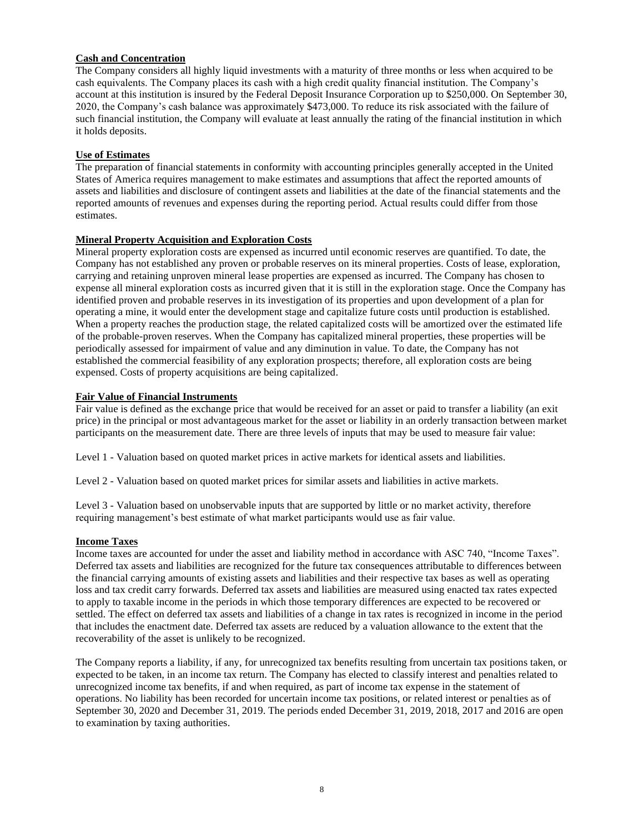#### **Cash and Concentration**

The Company considers all highly liquid investments with a maturity of three months or less when acquired to be cash equivalents. The Company places its cash with a high credit quality financial institution. The Company's account at this institution is insured by the Federal Deposit Insurance Corporation up to \$250,000. On September 30, 2020, the Company's cash balance was approximately \$473,000. To reduce its risk associated with the failure of such financial institution, the Company will evaluate at least annually the rating of the financial institution in which it holds deposits.

# **Use of Estimates**

The preparation of financial statements in conformity with accounting principles generally accepted in the United States of America requires management to make estimates and assumptions that affect the reported amounts of assets and liabilities and disclosure of contingent assets and liabilities at the date of the financial statements and the reported amounts of revenues and expenses during the reporting period. Actual results could differ from those estimates.

# **Mineral Property Acquisition and Exploration Costs**

Mineral property exploration costs are expensed as incurred until economic reserves are quantified. To date, the Company has not established any proven or probable reserves on its mineral properties. Costs of lease, exploration, carrying and retaining unproven mineral lease properties are expensed as incurred. The Company has chosen to expense all mineral exploration costs as incurred given that it is still in the exploration stage. Once the Company has identified proven and probable reserves in its investigation of its properties and upon development of a plan for operating a mine, it would enter the development stage and capitalize future costs until production is established. When a property reaches the production stage, the related capitalized costs will be amortized over the estimated life of the probable-proven reserves. When the Company has capitalized mineral properties, these properties will be periodically assessed for impairment of value and any diminution in value. To date, the Company has not established the commercial feasibility of any exploration prospects; therefore, all exploration costs are being expensed. Costs of property acquisitions are being capitalized.

#### **Fair Value of Financial Instruments**

Fair value is defined as the exchange price that would be received for an asset or paid to transfer a liability (an exit price) in the principal or most advantageous market for the asset or liability in an orderly transaction between market participants on the measurement date. There are three levels of inputs that may be used to measure fair value:

Level 1 - Valuation based on quoted market prices in active markets for identical assets and liabilities.

Level 2 - Valuation based on quoted market prices for similar assets and liabilities in active markets.

Level 3 - Valuation based on unobservable inputs that are supported by little or no market activity, therefore requiring management's best estimate of what market participants would use as fair value.

## **Income Taxes**

Income taxes are accounted for under the asset and liability method in accordance with ASC 740, "Income Taxes". Deferred tax assets and liabilities are recognized for the future tax consequences attributable to differences between the financial carrying amounts of existing assets and liabilities and their respective tax bases as well as operating loss and tax credit carry forwards. Deferred tax assets and liabilities are measured using enacted tax rates expected to apply to taxable income in the periods in which those temporary differences are expected to be recovered or settled. The effect on deferred tax assets and liabilities of a change in tax rates is recognized in income in the period that includes the enactment date. Deferred tax assets are reduced by a valuation allowance to the extent that the recoverability of the asset is unlikely to be recognized.

The Company reports a liability, if any, for unrecognized tax benefits resulting from uncertain tax positions taken, or expected to be taken, in an income tax return. The Company has elected to classify interest and penalties related to unrecognized income tax benefits, if and when required, as part of income tax expense in the statement of operations. No liability has been recorded for uncertain income tax positions, or related interest or penalties as of September 30, 2020 and December 31, 2019. The periods ended December 31, 2019, 2018, 2017 and 2016 are open to examination by taxing authorities.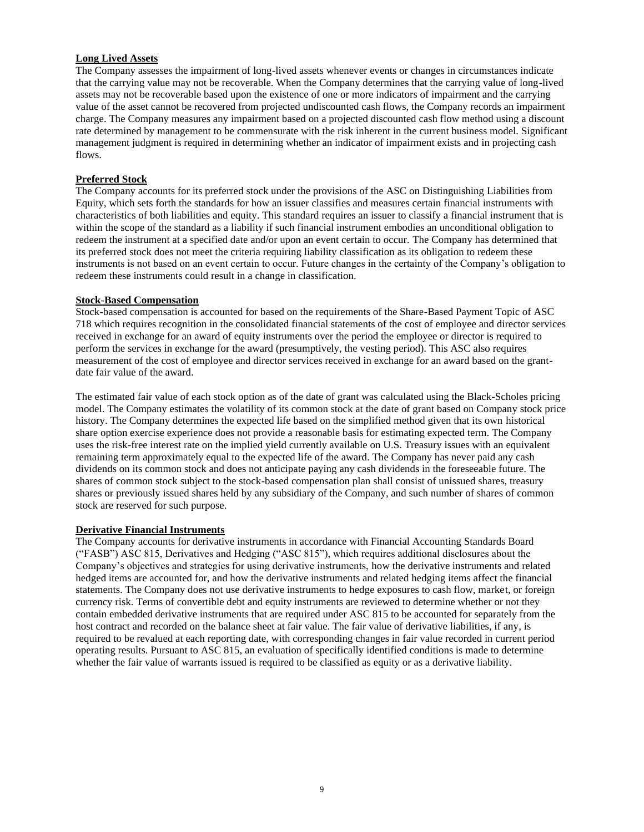## **Long Lived Assets**

The Company assesses the impairment of long-lived assets whenever events or changes in circumstances indicate that the carrying value may not be recoverable. When the Company determines that the carrying value of long-lived assets may not be recoverable based upon the existence of one or more indicators of impairment and the carrying value of the asset cannot be recovered from projected undiscounted cash flows, the Company records an impairment charge. The Company measures any impairment based on a projected discounted cash flow method using a discount rate determined by management to be commensurate with the risk inherent in the current business model. Significant management judgment is required in determining whether an indicator of impairment exists and in projecting cash flows.

# **Preferred Stock**

The Company accounts for its preferred stock under the provisions of the ASC on Distinguishing Liabilities from Equity, which sets forth the standards for how an issuer classifies and measures certain financial instruments with characteristics of both liabilities and equity. This standard requires an issuer to classify a financial instrument that is within the scope of the standard as a liability if such financial instrument embodies an unconditional obligation to redeem the instrument at a specified date and/or upon an event certain to occur. The Company has determined that its preferred stock does not meet the criteria requiring liability classification as its obligation to redeem these instruments is not based on an event certain to occur. Future changes in the certainty of the Company's obligation to redeem these instruments could result in a change in classification.

#### **Stock-Based Compensation**

Stock-based compensation is accounted for based on the requirements of the Share-Based Payment Topic of ASC 718 which requires recognition in the consolidated financial statements of the cost of employee and director services received in exchange for an award of equity instruments over the period the employee or director is required to perform the services in exchange for the award (presumptively, the vesting period). This ASC also requires measurement of the cost of employee and director services received in exchange for an award based on the grantdate fair value of the award.

The estimated fair value of each stock option as of the date of grant was calculated using the Black-Scholes pricing model. The Company estimates the volatility of its common stock at the date of grant based on Company stock price history. The Company determines the expected life based on the simplified method given that its own historical share option exercise experience does not provide a reasonable basis for estimating expected term. The Company uses the risk-free interest rate on the implied yield currently available on U.S. Treasury issues with an equivalent remaining term approximately equal to the expected life of the award. The Company has never paid any cash dividends on its common stock and does not anticipate paying any cash dividends in the foreseeable future. The shares of common stock subject to the stock-based compensation plan shall consist of unissued shares, treasury shares or previously issued shares held by any subsidiary of the Company, and such number of shares of common stock are reserved for such purpose.

#### **Derivative Financial Instruments**

The Company accounts for derivative instruments in accordance with Financial Accounting Standards Board ("FASB") ASC 815, Derivatives and Hedging ("ASC 815"), which requires additional disclosures about the Company's objectives and strategies for using derivative instruments, how the derivative instruments and related hedged items are accounted for, and how the derivative instruments and related hedging items affect the financial statements. The Company does not use derivative instruments to hedge exposures to cash flow, market, or foreign currency risk. Terms of convertible debt and equity instruments are reviewed to determine whether or not they contain embedded derivative instruments that are required under ASC 815 to be accounted for separately from the host contract and recorded on the balance sheet at fair value. The fair value of derivative liabilities, if any, is required to be revalued at each reporting date, with corresponding changes in fair value recorded in current period operating results. Pursuant to ASC 815, an evaluation of specifically identified conditions is made to determine whether the fair value of warrants issued is required to be classified as equity or as a derivative liability.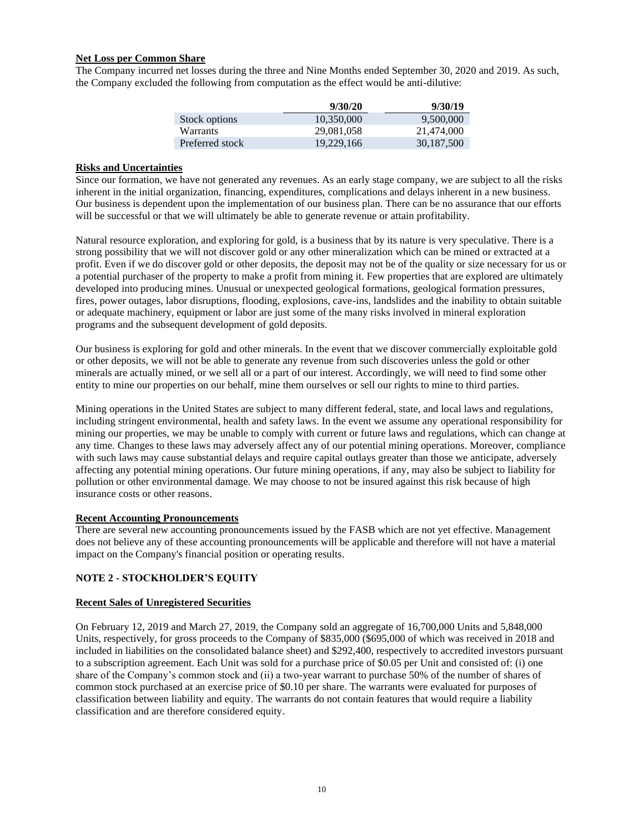#### **Net Loss per Common Share**

The Company incurred net losses during the three and Nine Months ended September 30, 2020 and 2019. As such, the Company excluded the following from computation as the effect would be anti-dilutive:

|                 | 9/30/20    | 9/30/19    |
|-----------------|------------|------------|
| Stock options   | 10.350,000 | 9.500.000  |
| Warrants        | 29.081.058 | 21,474,000 |
| Preferred stock | 19.229.166 | 30.187.500 |

#### **Risks and Uncertainties**

Since our formation, we have not generated any revenues. As an early stage company, we are subject to all the risks inherent in the initial organization, financing, expenditures, complications and delays inherent in a new business. Our business is dependent upon the implementation of our business plan. There can be no assurance that our efforts will be successful or that we will ultimately be able to generate revenue or attain profitability.

Natural resource exploration, and exploring for gold, is a business that by its nature is very speculative. There is a strong possibility that we will not discover gold or any other mineralization which can be mined or extracted at a profit. Even if we do discover gold or other deposits, the deposit may not be of the quality or size necessary for us or a potential purchaser of the property to make a profit from mining it. Few properties that are explored are ultimately developed into producing mines. Unusual or unexpected geological formations, geological formation pressures, fires, power outages, labor disruptions, flooding, explosions, cave-ins, landslides and the inability to obtain suitable or adequate machinery, equipment or labor are just some of the many risks involved in mineral exploration programs and the subsequent development of gold deposits.

Our business is exploring for gold and other minerals. In the event that we discover commercially exploitable gold or other deposits, we will not be able to generate any revenue from such discoveries unless the gold or other minerals are actually mined, or we sell all or a part of our interest. Accordingly, we will need to find some other entity to mine our properties on our behalf, mine them ourselves or sell our rights to mine to third parties.

Mining operations in the United States are subject to many different federal, state, and local laws and regulations, including stringent environmental, health and safety laws. In the event we assume any operational responsibility for mining our properties, we may be unable to comply with current or future laws and regulations, which can change at any time. Changes to these laws may adversely affect any of our potential mining operations. Moreover, compliance with such laws may cause substantial delays and require capital outlays greater than those we anticipate, adversely affecting any potential mining operations. Our future mining operations, if any, may also be subject to liability for pollution or other environmental damage. We may choose to not be insured against this risk because of high insurance costs or other reasons.

#### **Recent Accounting Pronouncements**

There are several new accounting pronouncements issued by the FASB which are not yet effective. Management does not believe any of these accounting pronouncements will be applicable and therefore will not have a material impact on the Company's financial position or operating results.

#### **NOTE 2 - STOCKHOLDER'S EQUITY**

#### **Recent Sales of Unregistered Securities**

On February 12, 2019 and March 27, 2019, the Company sold an aggregate of 16,700,000 Units and 5,848,000 Units, respectively, for gross proceeds to the Company of \$835,000 (\$695,000 of which was received in 2018 and included in liabilities on the consolidated balance sheet) and \$292,400, respectively to accredited investors pursuant to a subscription agreement. Each Unit was sold for a purchase price of \$0.05 per Unit and consisted of: (i) one share of the Company's common stock and (ii) a two-year warrant to purchase 50% of the number of shares of common stock purchased at an exercise price of \$0.10 per share. The warrants were evaluated for purposes of classification between liability and equity. The warrants do not contain features that would require a liability classification and are therefore considered equity.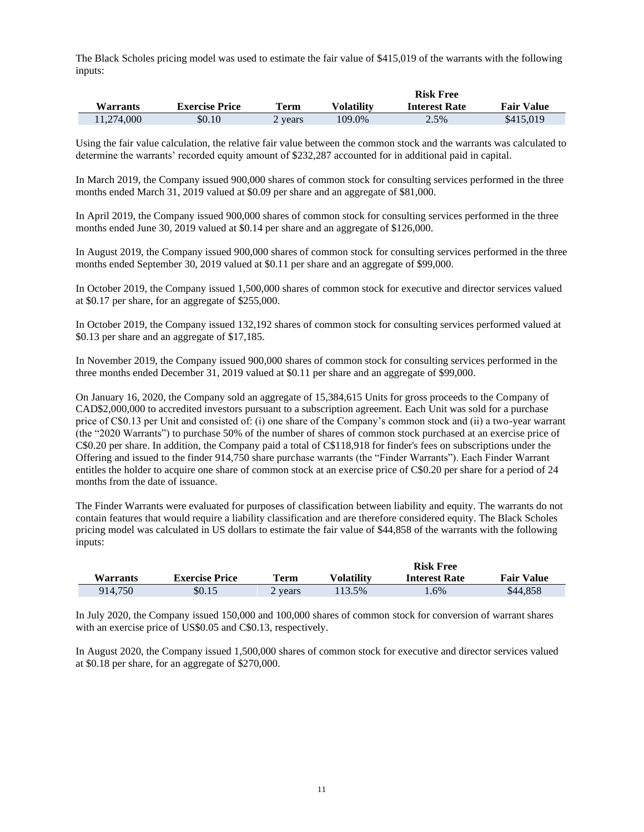The Black Scholes pricing model was used to estimate the fair value of \$415,019 of the warrants with the following inputs:

|                 |                       |             |            | <b>Risk Free</b>     |                   |
|-----------------|-----------------------|-------------|------------|----------------------|-------------------|
| <b>Warrants</b> | <b>Exercise Price</b> | <b>Term</b> | Volatilitv | <b>Interest Rate</b> | <b>Fair Value</b> |
| 11.274.000      | \$0.10                | 2 years     | 109.0%     | 2.5%                 | \$415,019         |

Using the fair value calculation, the relative fair value between the common stock and the warrants was calculated to determine the warrants' recorded equity amount of \$232,287 accounted for in additional paid in capital.

In March 2019, the Company issued 900,000 shares of common stock for consulting services performed in the three months ended March 31, 2019 valued at \$0.09 per share and an aggregate of \$81,000.

In April 2019, the Company issued 900,000 shares of common stock for consulting services performed in the three months ended June 30, 2019 valued at \$0.14 per share and an aggregate of \$126,000.

In August 2019, the Company issued 900,000 shares of common stock for consulting services performed in the three months ended September 30, 2019 valued at \$0.11 per share and an aggregate of \$99,000.

In October 2019, the Company issued 1,500,000 shares of common stock for executive and director services valued at \$0.17 per share, for an aggregate of \$255,000.

In October 2019, the Company issued 132,192 shares of common stock for consulting services performed valued at \$0.13 per share and an aggregate of \$17,185.

In November 2019, the Company issued 900,000 shares of common stock for consulting services performed in the three months ended December 31, 2019 valued at \$0.11 per share and an aggregate of \$99,000.

On January 16, 2020, the Company sold an aggregate of 15,384,615 Units for gross proceeds to the Company of CAD\$2,000,000 to accredited investors pursuant to a subscription agreement. Each Unit was sold for a purchase price of C\$0.13 per Unit and consisted of: (i) one share of the Company's common stock and (ii) a two-year warrant (the "2020 Warrants") to purchase 50% of the number of shares of common stock purchased at an exercise price of C\$0.20 per share. In addition, the Company paid a total of C\$118,918 for finder's fees on subscriptions under the Offering and issued to the finder 914,750 share purchase warrants (the "Finder Warrants"). Each Finder Warrant entitles the holder to acquire one share of common stock at an exercise price of C\$0.20 per share for a period of 24 months from the date of issuance.

The Finder Warrants were evaluated for purposes of classification between liability and equity. The warrants do not contain features that would require a liability classification and are therefore considered equity. The Black Scholes pricing model was calculated in US dollars to estimate the fair value of \$44,858 of the warrants with the following inputs:

|                 |                       |         |                   | <b>Risk Free</b>     |                   |
|-----------------|-----------------------|---------|-------------------|----------------------|-------------------|
| <b>Warrants</b> | <b>Exercise Price</b> | Term    | <b>Volatility</b> | <b>Interest Rate</b> | <b>Fair Value</b> |
| 914.750         | \$0.15                | 2 vears | 113.5%            | $.6\%$               | \$44,858          |

In July 2020, the Company issued 150,000 and 100,000 shares of common stock for conversion of warrant shares with an exercise price of US\$0.05 and C\$0.13, respectively.

In August 2020, the Company issued 1,500,000 shares of common stock for executive and director services valued at \$0.18 per share, for an aggregate of \$270,000.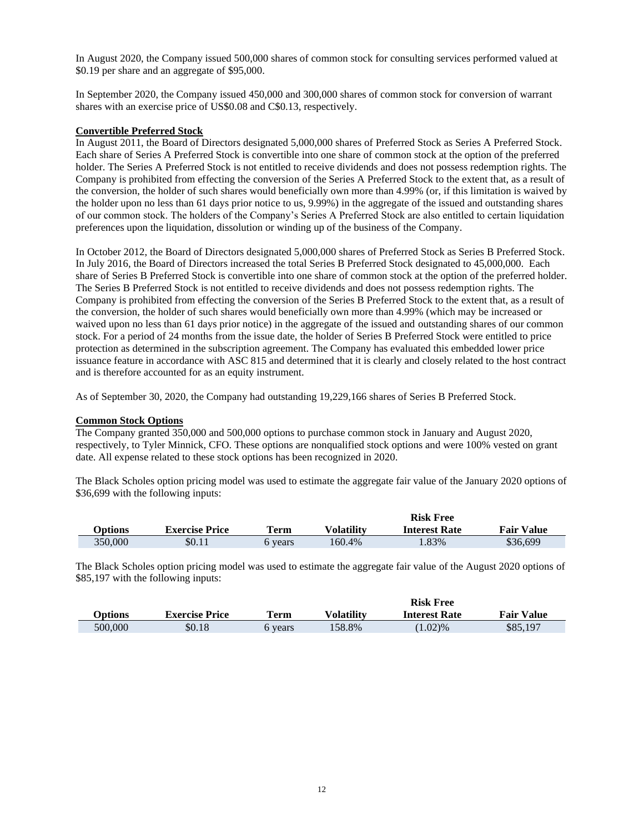In August 2020, the Company issued 500,000 shares of common stock for consulting services performed valued at \$0.19 per share and an aggregate of \$95,000.

In September 2020, the Company issued 450,000 and 300,000 shares of common stock for conversion of warrant shares with an exercise price of US\$0.08 and C\$0.13, respectively.

#### **Convertible Preferred Stock**

In August 2011, the Board of Directors designated 5,000,000 shares of Preferred Stock as Series A Preferred Stock. Each share of Series A Preferred Stock is convertible into one share of common stock at the option of the preferred holder. The Series A Preferred Stock is not entitled to receive dividends and does not possess redemption rights. The Company is prohibited from effecting the conversion of the Series A Preferred Stock to the extent that, as a result of the conversion, the holder of such shares would beneficially own more than 4.99% (or, if this limitation is waived by the holder upon no less than 61 days prior notice to us, 9.99%) in the aggregate of the issued and outstanding shares of our common stock. The holders of the Company's Series A Preferred Stock are also entitled to certain liquidation preferences upon the liquidation, dissolution or winding up of the business of the Company.

In October 2012, the Board of Directors designated 5,000,000 shares of Preferred Stock as Series B Preferred Stock. In July 2016, the Board of Directors increased the total Series B Preferred Stock designated to 45,000,000. Each share of Series B Preferred Stock is convertible into one share of common stock at the option of the preferred holder. The Series B Preferred Stock is not entitled to receive dividends and does not possess redemption rights. The Company is prohibited from effecting the conversion of the Series B Preferred Stock to the extent that, as a result of the conversion, the holder of such shares would beneficially own more than 4.99% (which may be increased or waived upon no less than 61 days prior notice) in the aggregate of the issued and outstanding shares of our common stock. For a period of 24 months from the issue date, the holder of Series B Preferred Stock were entitled to price protection as determined in the subscription agreement. The Company has evaluated this embedded lower price issuance feature in accordance with ASC 815 and determined that it is clearly and closely related to the host contract and is therefore accounted for as an equity instrument.

As of September 30, 2020, the Company had outstanding 19,229,166 shares of Series B Preferred Stock.

#### **Common Stock Options**

The Company granted 350,000 and 500,000 options to purchase common stock in January and August 2020, respectively, to Tyler Minnick, CFO. These options are nonqualified stock options and were 100% vested on grant date. All expense related to these stock options has been recognized in 2020.

The Black Scholes option pricing model was used to estimate the aggregate fair value of the January 2020 options of \$36,699 with the following inputs:

|         |                       |       |            | <b>Risk Free</b>     |                   |
|---------|-----------------------|-------|------------|----------------------|-------------------|
| Options | <b>Exercise Price</b> | Term  | Volatility | <b>Interest Rate</b> | <b>Fair Value</b> |
| 350.000 | \$0.11                | vears | 160.4%     | .83%                 | \$36,699          |

The Black Scholes option pricing model was used to estimate the aggregate fair value of the August 2020 options of \$85,197 with the following inputs:

|         |                       |             |                   | <b>Risk Free</b>     |                   |
|---------|-----------------------|-------------|-------------------|----------------------|-------------------|
| Options | <b>Exercise Price</b> | <b>Term</b> | <b>Volatility</b> | <b>Interest Rate</b> | <b>Fair Value</b> |
| 500,000 | \$0.18                | 6 vears     | 158.8%            | $(1.02)\%$           | \$85,197          |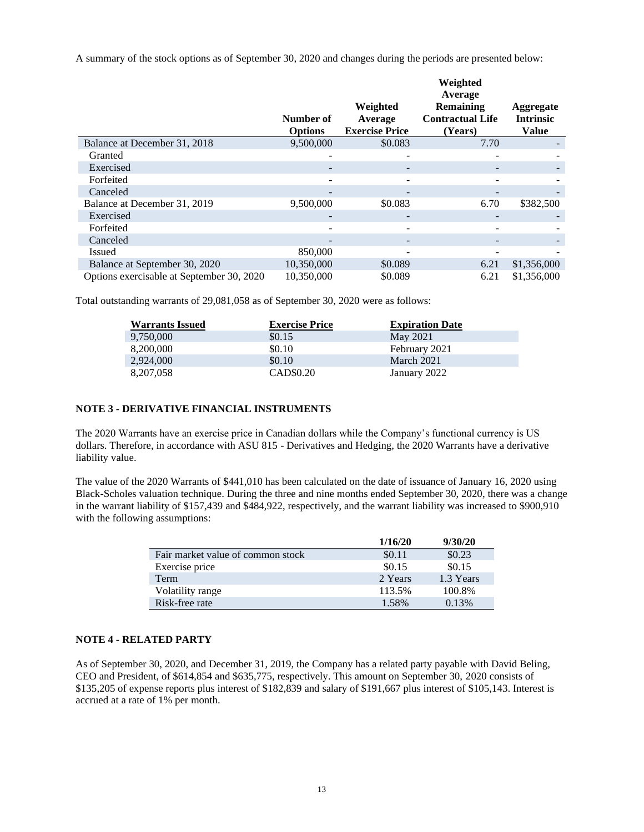A summary of the stock options as of September 30, 2020 and changes during the periods are presented below:

|                                           | Number of<br><b>Options</b> | Weighted<br>Average<br><b>Exercise Price</b> | Weighted<br>Average<br><b>Remaining</b><br><b>Contractual Life</b><br>(Years) | Aggregate<br><b>Intrinsic</b><br><b>Value</b> |
|-------------------------------------------|-----------------------------|----------------------------------------------|-------------------------------------------------------------------------------|-----------------------------------------------|
| Balance at December 31, 2018              | 9,500,000                   | \$0.083                                      | 7.70                                                                          |                                               |
| Granted                                   |                             |                                              |                                                                               |                                               |
| Exercised                                 |                             |                                              |                                                                               |                                               |
| Forfeited                                 |                             |                                              |                                                                               |                                               |
| Canceled                                  |                             | -                                            | -                                                                             |                                               |
| Balance at December 31, 2019              | 9,500,000                   | \$0.083                                      | 6.70                                                                          | \$382,500                                     |
| Exercised                                 |                             |                                              |                                                                               |                                               |
| Forfeited                                 |                             |                                              |                                                                               |                                               |
| Canceled                                  |                             |                                              |                                                                               |                                               |
| <b>Issued</b>                             | 850,000                     |                                              |                                                                               |                                               |
| Balance at September 30, 2020             | 10,350,000                  | \$0.089                                      | 6.21                                                                          | \$1,356,000                                   |
| Options exercisable at September 30, 2020 | 10.350,000                  | \$0.089                                      | 6.21                                                                          | \$1,356,000                                   |

Total outstanding warrants of 29,081,058 as of September 30, 2020 were as follows:

| <b>Warrants Issued</b> | <b>Exercise Price</b> | <b>Expiration Date</b> |
|------------------------|-----------------------|------------------------|
| 9,750,000              | \$0.15                | May 2021               |
| 8,200,000              | \$0.10                | February 2021          |
| 2,924,000              | \$0.10                | March 2021             |
| 8,207,058              | CAD\$0.20             | January 2022           |

#### **NOTE 3 - DERIVATIVE FINANCIAL INSTRUMENTS**

The 2020 Warrants have an exercise price in Canadian dollars while the Company's functional currency is US dollars. Therefore, in accordance with ASU 815 - Derivatives and Hedging, the 2020 Warrants have a derivative liability value.

The value of the 2020 Warrants of \$441,010 has been calculated on the date of issuance of January 16, 2020 using Black-Scholes valuation technique. During the three and nine months ended September 30, 2020, there was a change in the warrant liability of \$157,439 and \$484,922, respectively, and the warrant liability was increased to \$900,910 with the following assumptions:

|                                   | 1/16/20 | 9/30/20   |
|-----------------------------------|---------|-----------|
| Fair market value of common stock | \$0.11  | \$0.23    |
| Exercise price                    | \$0.15  | \$0.15    |
| Term                              | 2 Years | 1.3 Years |
| Volatility range                  | 113.5%  | 100.8%    |
| Risk-free rate                    | 1.58%   | 0.13%     |

#### **NOTE 4 - RELATED PARTY**

As of September 30, 2020, and December 31, 2019, the Company has a related party payable with David Beling, CEO and President, of \$614,854 and \$635,775, respectively. This amount on September 30, 2020 consists of \$135,205 of expense reports plus interest of \$182,839 and salary of \$191,667 plus interest of \$105,143. Interest is accrued at a rate of 1% per month.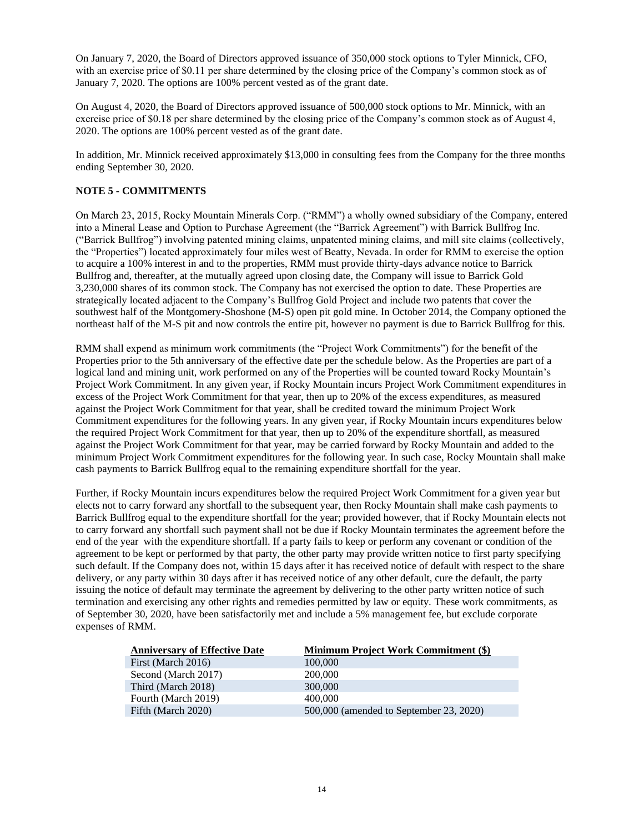On January 7, 2020, the Board of Directors approved issuance of 350,000 stock options to Tyler Minnick, CFO, with an exercise price of \$0.11 per share determined by the closing price of the Company's common stock as of January 7, 2020. The options are 100% percent vested as of the grant date.

On August 4, 2020, the Board of Directors approved issuance of 500,000 stock options to Mr. Minnick, with an exercise price of \$0.18 per share determined by the closing price of the Company's common stock as of August 4, 2020. The options are 100% percent vested as of the grant date.

In addition, Mr. Minnick received approximately \$13,000 in consulting fees from the Company for the three months ending September 30, 2020.

#### **NOTE 5 - COMMITMENTS**

On March 23, 2015, Rocky Mountain Minerals Corp. ("RMM") a wholly owned subsidiary of the Company, entered into a Mineral Lease and Option to Purchase Agreement (the "Barrick Agreement") with Barrick Bullfrog Inc. ("Barrick Bullfrog") involving patented mining claims, unpatented mining claims, and mill site claims (collectively, the "Properties") located approximately four miles west of Beatty, Nevada. In order for RMM to exercise the option to acquire a 100% interest in and to the properties, RMM must provide thirty-days advance notice to Barrick Bullfrog and, thereafter, at the mutually agreed upon closing date, the Company will issue to Barrick Gold 3,230,000 shares of its common stock. The Company has not exercised the option to date. These Properties are strategically located adjacent to the Company's Bullfrog Gold Project and include two patents that cover the southwest half of the Montgomery-Shoshone (M-S) open pit gold mine. In October 2014, the Company optioned the northeast half of the M-S pit and now controls the entire pit, however no payment is due to Barrick Bullfrog for this.

RMM shall expend as minimum work commitments (the "Project Work Commitments") for the benefit of the Properties prior to the 5th anniversary of the effective date per the schedule below. As the Properties are part of a logical land and mining unit, work performed on any of the Properties will be counted toward Rocky Mountain's Project Work Commitment. In any given year, if Rocky Mountain incurs Project Work Commitment expenditures in excess of the Project Work Commitment for that year, then up to 20% of the excess expenditures, as measured against the Project Work Commitment for that year, shall be credited toward the minimum Project Work Commitment expenditures for the following years. In any given year, if Rocky Mountain incurs expenditures below the required Project Work Commitment for that year, then up to 20% of the expenditure shortfall, as measured against the Project Work Commitment for that year, may be carried forward by Rocky Mountain and added to the minimum Project Work Commitment expenditures for the following year. In such case, Rocky Mountain shall make cash payments to Barrick Bullfrog equal to the remaining expenditure shortfall for the year.

Further, if Rocky Mountain incurs expenditures below the required Project Work Commitment for a given year but elects not to carry forward any shortfall to the subsequent year, then Rocky Mountain shall make cash payments to Barrick Bullfrog equal to the expenditure shortfall for the year; provided however, that if Rocky Mountain elects not to carry forward any shortfall such payment shall not be due if Rocky Mountain terminates the agreement before the end of the year with the expenditure shortfall. If a party fails to keep or perform any covenant or condition of the agreement to be kept or performed by that party, the other party may provide written notice to first party specifying such default. If the Company does not, within 15 days after it has received notice of default with respect to the share delivery, or any party within 30 days after it has received notice of any other default, cure the default, the party issuing the notice of default may terminate the agreement by delivering to the other party written notice of such termination and exercising any other rights and remedies permitted by law or equity. These work commitments, as of September 30, 2020, have been satisfactorily met and include a 5% management fee, but exclude corporate expenses of RMM.

| <b>Anniversary of Effective Date</b> | <b>Minimum Project Work Commitment (\$)</b> |
|--------------------------------------|---------------------------------------------|
| First (March 2016)                   | 100,000                                     |
| Second (March 2017)                  | 200,000                                     |
| Third (March 2018)                   | 300,000                                     |
| Fourth (March 2019)                  | 400,000                                     |
| Fifth (March 2020)                   | 500,000 (amended to September 23, 2020)     |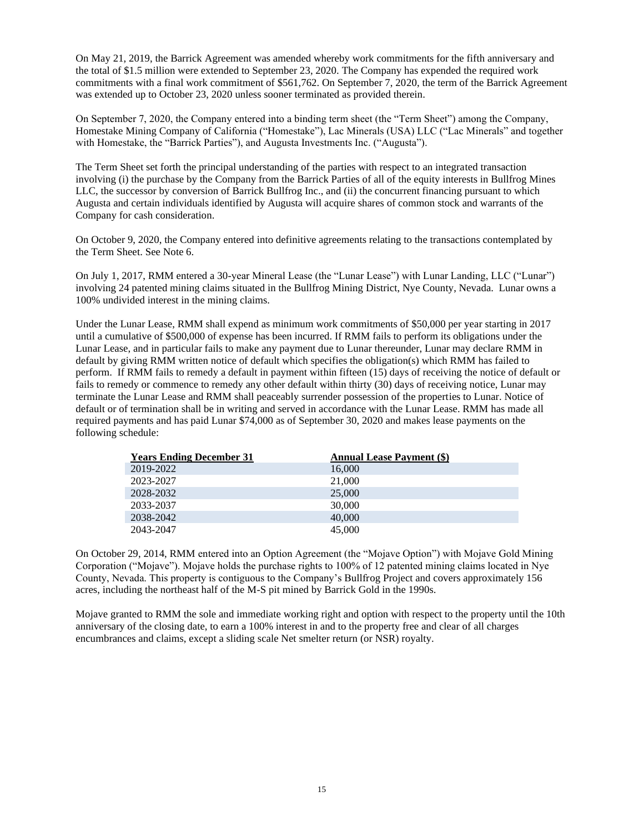On May 21, 2019, the Barrick Agreement was amended whereby work commitments for the fifth anniversary and the total of \$1.5 million were extended to September 23, 2020. The Company has expended the required work commitments with a final work commitment of \$561,762. On September 7, 2020, the term of the Barrick Agreement was extended up to October 23, 2020 unless sooner terminated as provided therein.

On September 7, 2020, the Company entered into a binding term sheet (the "Term Sheet") among the Company, Homestake Mining Company of California ("Homestake"), Lac Minerals (USA) LLC ("Lac Minerals" and together with Homestake, the "Barrick Parties"), and Augusta Investments Inc. ("Augusta").

The Term Sheet set forth the principal understanding of the parties with respect to an integrated transaction involving (i) the purchase by the Company from the Barrick Parties of all of the equity interests in Bullfrog Mines LLC, the successor by conversion of Barrick Bullfrog Inc., and (ii) the concurrent financing pursuant to which Augusta and certain individuals identified by Augusta will acquire shares of common stock and warrants of the Company for cash consideration.

On October 9, 2020, the Company entered into definitive agreements relating to the transactions contemplated by the Term Sheet. See Note 6.

On July 1, 2017, RMM entered a 30-year Mineral Lease (the "Lunar Lease") with Lunar Landing, LLC ("Lunar") involving 24 patented mining claims situated in the Bullfrog Mining District, Nye County, Nevada. Lunar owns a 100% undivided interest in the mining claims.

Under the Lunar Lease, RMM shall expend as minimum work commitments of \$50,000 per year starting in 2017 until a cumulative of \$500,000 of expense has been incurred. If RMM fails to perform its obligations under the Lunar Lease, and in particular fails to make any payment due to Lunar thereunder, Lunar may declare RMM in default by giving RMM written notice of default which specifies the obligation(s) which RMM has failed to perform. If RMM fails to remedy a default in payment within fifteen (15) days of receiving the notice of default or fails to remedy or commence to remedy any other default within thirty (30) days of receiving notice, Lunar may terminate the Lunar Lease and RMM shall peaceably surrender possession of the properties to Lunar. Notice of default or of termination shall be in writing and served in accordance with the Lunar Lease. RMM has made all required payments and has paid Lunar \$74,000 as of September 30, 2020 and makes lease payments on the following schedule:

| <b>Years Ending December 31</b> | <b>Annual Lease Payment (\$)</b> |
|---------------------------------|----------------------------------|
| 2019-2022                       | 16,000                           |
| 2023-2027                       | 21,000                           |
| 2028-2032                       | 25,000                           |
| 2033-2037                       | 30,000                           |
| 2038-2042                       | 40,000                           |
| 2043-2047                       | 45,000                           |

On October 29, 2014, RMM entered into an Option Agreement (the "Mojave Option") with Mojave Gold Mining Corporation ("Mojave"). Mojave holds the purchase rights to 100% of 12 patented mining claims located in Nye County, Nevada. This property is contiguous to the Company's Bullfrog Project and covers approximately 156 acres, including the northeast half of the M-S pit mined by Barrick Gold in the 1990s.

Mojave granted to RMM the sole and immediate working right and option with respect to the property until the 10th anniversary of the closing date, to earn a 100% interest in and to the property free and clear of all charges encumbrances and claims, except a sliding scale Net smelter return (or NSR) royalty.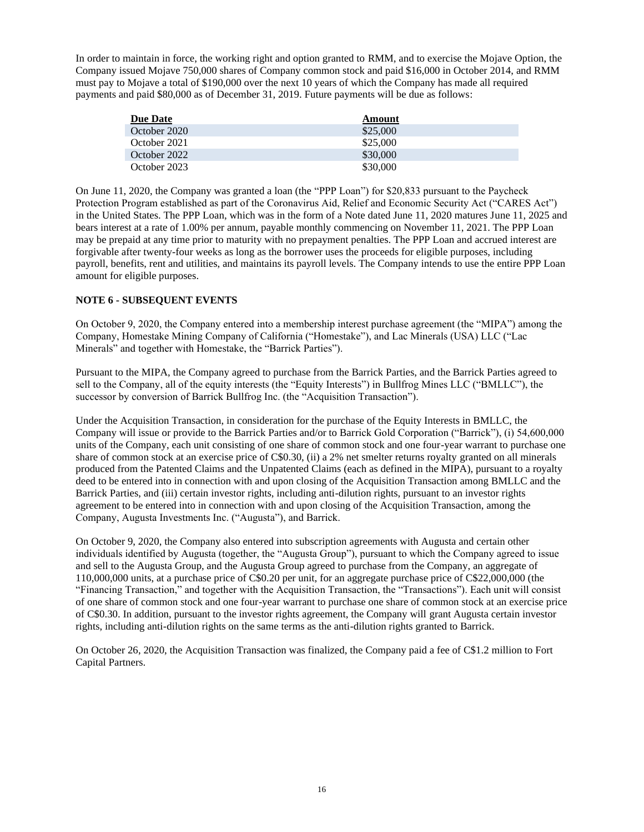In order to maintain in force, the working right and option granted to RMM, and to exercise the Mojave Option, the Company issued Mojave 750,000 shares of Company common stock and paid \$16,000 in October 2014, and RMM must pay to Mojave a total of \$190,000 over the next 10 years of which the Company has made all required payments and paid \$80,000 as of December 31, 2019. Future payments will be due as follows:

| <b>Due Date</b> | Amount   |
|-----------------|----------|
| October 2020    | \$25,000 |
| October 2021    | \$25,000 |
| October 2022    | \$30,000 |
| October 2023    | \$30,000 |

On June 11, 2020, the Company was granted a loan (the "PPP Loan") for \$20,833 pursuant to the Paycheck Protection Program established as part of the Coronavirus Aid, Relief and Economic Security Act ("CARES Act") in the United States. The PPP Loan, which was in the form of a Note dated June 11, 2020 matures June 11, 2025 and bears interest at a rate of 1.00% per annum, payable monthly commencing on November 11, 2021. The PPP Loan may be prepaid at any time prior to maturity with no prepayment penalties. The PPP Loan and accrued interest are forgivable after twenty-four weeks as long as the borrower uses the proceeds for eligible purposes, including payroll, benefits, rent and utilities, and maintains its payroll levels. The Company intends to use the entire PPP Loan amount for eligible purposes.

# **NOTE 6 - SUBSEQUENT EVENTS**

On October 9, 2020, the Company entered into a membership interest purchase agreement (the "MIPA") among the Company, Homestake Mining Company of California ("Homestake"), and Lac Minerals (USA) LLC ("Lac Minerals" and together with Homestake, the "Barrick Parties").

Pursuant to the MIPA, the Company agreed to purchase from the Barrick Parties, and the Barrick Parties agreed to sell to the Company, all of the equity interests (the "Equity Interests") in Bullfrog Mines LLC ("BMLLC"), the successor by conversion of Barrick Bullfrog Inc. (the "Acquisition Transaction").

Under the Acquisition Transaction, in consideration for the purchase of the Equity Interests in BMLLC, the Company will issue or provide to the Barrick Parties and/or to Barrick Gold Corporation ("Barrick"), (i) 54,600,000 units of the Company, each unit consisting of one share of common stock and one four-year warrant to purchase one share of common stock at an exercise price of C\$0.30, (ii) a 2% net smelter returns royalty granted on all minerals produced from the Patented Claims and the Unpatented Claims (each as defined in the MIPA), pursuant to a royalty deed to be entered into in connection with and upon closing of the Acquisition Transaction among BMLLC and the Barrick Parties, and (iii) certain investor rights, including anti-dilution rights, pursuant to an investor rights agreement to be entered into in connection with and upon closing of the Acquisition Transaction, among the Company, Augusta Investments Inc. ("Augusta"), and Barrick.

On October 9, 2020, the Company also entered into subscription agreements with Augusta and certain other individuals identified by Augusta (together, the "Augusta Group"), pursuant to which the Company agreed to issue and sell to the Augusta Group, and the Augusta Group agreed to purchase from the Company, an aggregate of 110,000,000 units, at a purchase price of C\$0.20 per unit, for an aggregate purchase price of C\$22,000,000 (the "Financing Transaction," and together with the Acquisition Transaction, the "Transactions"). Each unit will consist of one share of common stock and one four-year warrant to purchase one share of common stock at an exercise price of C\$0.30. In addition, pursuant to the investor rights agreement, the Company will grant Augusta certain investor rights, including anti-dilution rights on the same terms as the anti-dilution rights granted to Barrick.

On October 26, 2020, the Acquisition Transaction was finalized, the Company paid a fee of C\$1.2 million to Fort Capital Partners.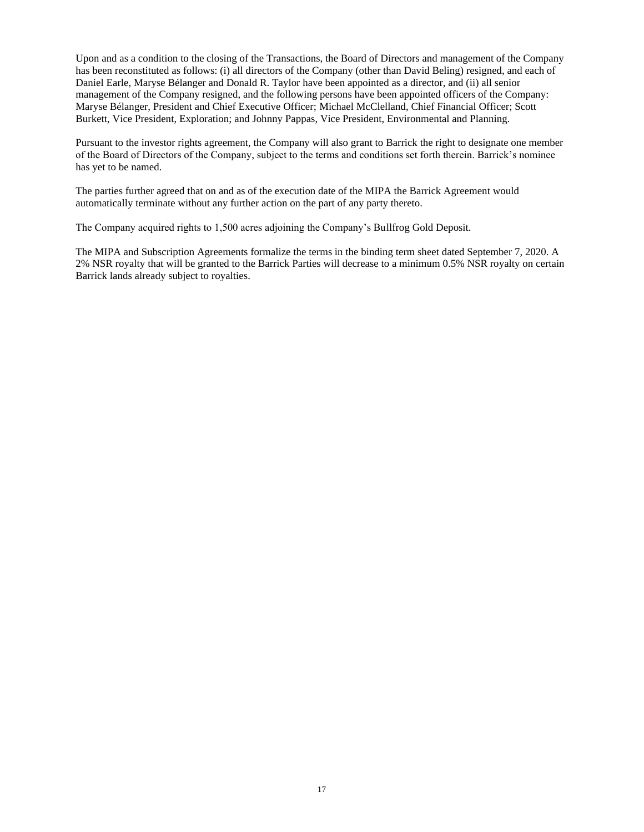Upon and as a condition to the closing of the Transactions, the Board of Directors and management of the Company has been reconstituted as follows: (i) all directors of the Company (other than David Beling) resigned, and each of Daniel Earle, Maryse Bélanger and Donald R. Taylor have been appointed as a director, and (ii) all senior management of the Company resigned, and the following persons have been appointed officers of the Company: Maryse Bélanger, President and Chief Executive Officer; Michael McClelland, Chief Financial Officer; Scott Burkett, Vice President, Exploration; and Johnny Pappas, Vice President, Environmental and Planning.

Pursuant to the investor rights agreement, the Company will also grant to Barrick the right to designate one member of the Board of Directors of the Company, subject to the terms and conditions set forth therein. Barrick's nominee has yet to be named.

The parties further agreed that on and as of the execution date of the MIPA the Barrick Agreement would automatically terminate without any further action on the part of any party thereto.

The Company acquired rights to 1,500 acres adjoining the Company's Bullfrog Gold Deposit.

The MIPA and Subscription Agreements formalize the terms in the binding term sheet dated September 7, 2020. A 2% NSR royalty that will be granted to the Barrick Parties will decrease to a minimum 0.5% NSR royalty on certain Barrick lands already subject to royalties.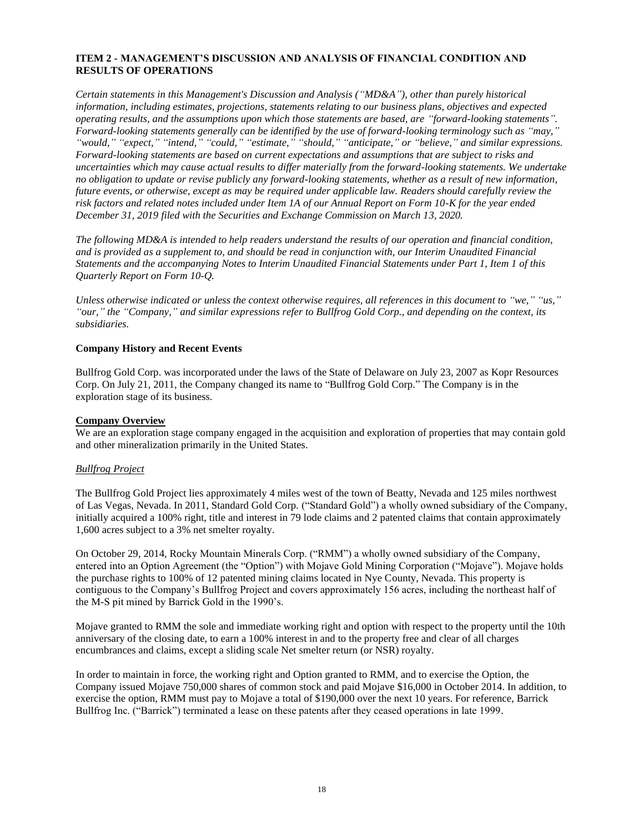# <span id="page-17-0"></span>**ITEM 2 - MANAGEMENT'S DISCUSSION AND ANALYSIS OF FINANCIAL CONDITION AND RESULTS OF OPERATIONS**

*Certain statements in this Management's Discussion and Analysis ("MD&A"), other than purely historical information, including estimates, projections, statements relating to our business plans, objectives and expected operating results, and the assumptions upon which those statements are based, are "forward-looking statements". Forward-looking statements generally can be identified by the use of forward-looking terminology such as "may," "would," "expect," "intend," "could," "estimate," "should," "anticipate," or "believe," and similar expressions. Forward-looking statements are based on current expectations and assumptions that are subject to risks and uncertainties which may cause actual results to differ materially from the forward-looking statements. We undertake no obligation to update or revise publicly any forward-looking statements, whether as a result of new information, future events, or otherwise, except as may be required under applicable law. Readers should carefully review the risk factors and related notes included under Item 1A of our Annual Report on Form 10-K for the year ended December 31, 2019 filed with the Securities and Exchange Commission on March 13, 2020.*

*The following MD&A is intended to help readers understand the results of our operation and financial condition, and is provided as a supplement to, and should be read in conjunction with, our Interim Unaudited Financial Statements and the accompanying Notes to Interim Unaudited Financial Statements under Part 1, Item 1 of this Quarterly Report on Form 10-Q.*

*Unless otherwise indicated or unless the context otherwise requires, all references in this document to "we," "us," "our," the "Company," and similar expressions refer to Bullfrog Gold Corp., and depending on the context, its subsidiaries.*

#### **Company History and Recent Events**

Bullfrog Gold Corp. was incorporated under the laws of the State of Delaware on July 23, 2007 as Kopr Resources Corp. On July 21, 2011, the Company changed its name to "Bullfrog Gold Corp." The Company is in the exploration stage of its business.

#### **Company Overview**

We are an exploration stage company engaged in the acquisition and exploration of properties that may contain gold and other mineralization primarily in the United States.

#### *Bullfrog Project*

The Bullfrog Gold Project lies approximately 4 miles west of the town of Beatty, Nevada and 125 miles northwest of Las Vegas, Nevada. In 2011, Standard Gold Corp. ("Standard Gold") a wholly owned subsidiary of the Company, initially acquired a 100% right, title and interest in 79 lode claims and 2 patented claims that contain approximately 1,600 acres subject to a 3% net smelter royalty.

On October 29, 2014, Rocky Mountain Minerals Corp. ("RMM") a wholly owned subsidiary of the Company, entered into an Option Agreement (the "Option") with Mojave Gold Mining Corporation ("Mojave"). Mojave holds the purchase rights to 100% of 12 patented mining claims located in Nye County, Nevada. This property is contiguous to the Company's Bullfrog Project and covers approximately 156 acres, including the northeast half of the M-S pit mined by Barrick Gold in the 1990's.

Mojave granted to RMM the sole and immediate working right and option with respect to the property until the 10th anniversary of the closing date, to earn a 100% interest in and to the property free and clear of all charges encumbrances and claims, except a sliding scale Net smelter return (or NSR) royalty.

In order to maintain in force, the working right and Option granted to RMM, and to exercise the Option, the Company issued Mojave 750,000 shares of common stock and paid Mojave \$16,000 in October 2014. In addition, to exercise the option, RMM must pay to Mojave a total of \$190,000 over the next 10 years. For reference, Barrick Bullfrog Inc. ("Barrick") terminated a lease on these patents after they ceased operations in late 1999.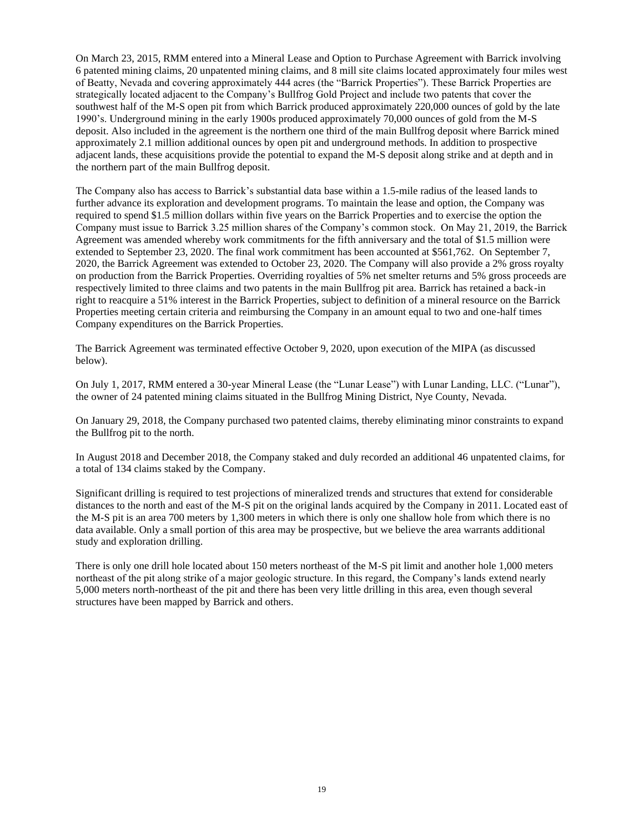On March 23, 2015, RMM entered into a Mineral Lease and Option to Purchase Agreement with Barrick involving 6 patented mining claims, 20 unpatented mining claims, and 8 mill site claims located approximately four miles west of Beatty, Nevada and covering approximately 444 acres (the "Barrick Properties"). These Barrick Properties are strategically located adjacent to the Company's Bullfrog Gold Project and include two patents that cover the southwest half of the M-S open pit from which Barrick produced approximately 220,000 ounces of gold by the late 1990's. Underground mining in the early 1900s produced approximately 70,000 ounces of gold from the M-S deposit. Also included in the agreement is the northern one third of the main Bullfrog deposit where Barrick mined approximately 2.1 million additional ounces by open pit and underground methods. In addition to prospective adjacent lands, these acquisitions provide the potential to expand the M-S deposit along strike and at depth and in the northern part of the main Bullfrog deposit.

The Company also has access to Barrick's substantial data base within a 1.5-mile radius of the leased lands to further advance its exploration and development programs. To maintain the lease and option, the Company was required to spend \$1.5 million dollars within five years on the Barrick Properties and to exercise the option the Company must issue to Barrick 3.25 million shares of the Company's common stock. On May 21, 2019, the Barrick Agreement was amended whereby work commitments for the fifth anniversary and the total of \$1.5 million were extended to September 23, 2020. The final work commitment has been accounted at \$561,762. On September 7, 2020, the Barrick Agreement was extended to October 23, 2020. The Company will also provide a 2% gross royalty on production from the Barrick Properties. Overriding royalties of 5% net smelter returns and 5% gross proceeds are respectively limited to three claims and two patents in the main Bullfrog pit area. Barrick has retained a back-in right to reacquire a 51% interest in the Barrick Properties, subject to definition of a mineral resource on the Barrick Properties meeting certain criteria and reimbursing the Company in an amount equal to two and one-half times Company expenditures on the Barrick Properties.

The Barrick Agreement was terminated effective October 9, 2020, upon execution of the MIPA (as discussed below).

On July 1, 2017, RMM entered a 30-year Mineral Lease (the "Lunar Lease") with Lunar Landing, LLC. ("Lunar"), the owner of 24 patented mining claims situated in the Bullfrog Mining District, Nye County, Nevada.

On January 29, 2018, the Company purchased two patented claims, thereby eliminating minor constraints to expand the Bullfrog pit to the north.

In August 2018 and December 2018, the Company staked and duly recorded an additional 46 unpatented claims, for a total of 134 claims staked by the Company.

Significant drilling is required to test projections of mineralized trends and structures that extend for considerable distances to the north and east of the M-S pit on the original lands acquired by the Company in 2011. Located east of the M-S pit is an area 700 meters by 1,300 meters in which there is only one shallow hole from which there is no data available. Only a small portion of this area may be prospective, but we believe the area warrants additional study and exploration drilling.

There is only one drill hole located about 150 meters northeast of the M-S pit limit and another hole 1,000 meters northeast of the pit along strike of a major geologic structure. In this regard, the Company's lands extend nearly 5,000 meters north-northeast of the pit and there has been very little drilling in this area, even though several structures have been mapped by Barrick and others.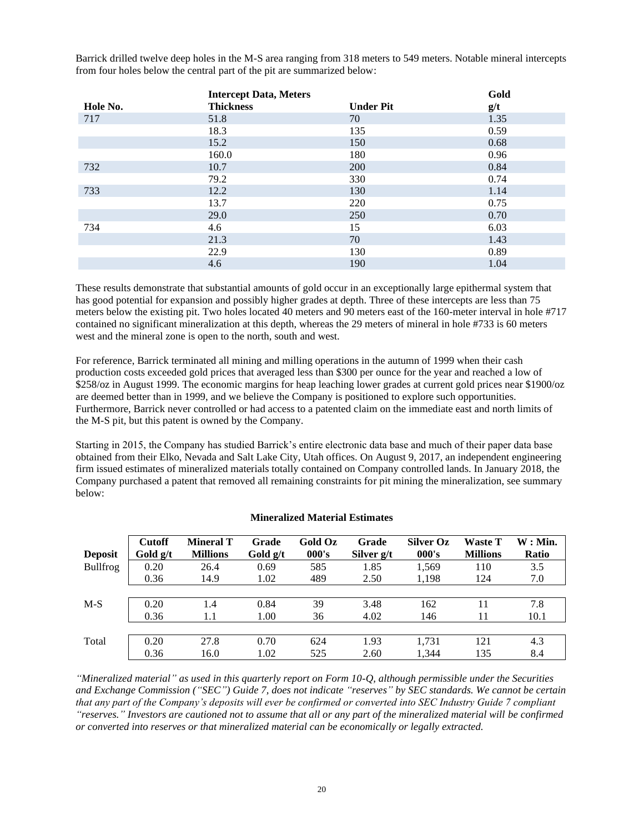Barrick drilled twelve deep holes in the M-S area ranging from 318 meters to 549 meters. Notable mineral intercepts from four holes below the central part of the pit are summarized below:

|          | <b>Intercept Data, Meters</b> |                  | Gold |
|----------|-------------------------------|------------------|------|
| Hole No. | <b>Thickness</b>              | <b>Under Pit</b> | g/t  |
| 717      | 51.8                          | 70               | 1.35 |
|          | 18.3                          | 135              | 0.59 |
|          | 15.2                          | 150              | 0.68 |
|          | 160.0                         | 180              | 0.96 |
| 732      | 10.7                          | <b>200</b>       | 0.84 |
|          | 79.2                          | 330              | 0.74 |
| 733      | 12.2                          | 130              | 1.14 |
|          | 13.7                          | 220              | 0.75 |
|          | 29.0                          | 250              | 0.70 |
| 734      | 4.6                           | 15               | 6.03 |
|          | 21.3                          | 70               | 1.43 |
|          | 22.9                          | 130              | 0.89 |
|          | 4.6                           | 190              | 1.04 |

These results demonstrate that substantial amounts of gold occur in an exceptionally large epithermal system that has good potential for expansion and possibly higher grades at depth. Three of these intercepts are less than 75 meters below the existing pit. Two holes located 40 meters and 90 meters east of the 160-meter interval in hole #717 contained no significant mineralization at this depth, whereas the 29 meters of mineral in hole #733 is 60 meters west and the mineral zone is open to the north, south and west.

For reference, Barrick terminated all mining and milling operations in the autumn of 1999 when their cash production costs exceeded gold prices that averaged less than \$300 per ounce for the year and reached a low of \$258/oz in August 1999. The economic margins for heap leaching lower grades at current gold prices near \$1900/oz are deemed better than in 1999, and we believe the Company is positioned to explore such opportunities. Furthermore, Barrick never controlled or had access to a patented claim on the immediate east and north limits of the M-S pit, but this patent is owned by the Company.

Starting in 2015, the Company has studied Barrick's entire electronic data base and much of their paper data base obtained from their Elko, Nevada and Salt Lake City, Utah offices. On August 9, 2017, an independent engineering firm issued estimates of mineralized materials totally contained on Company controlled lands. In January 2018, the Company purchased a patent that removed all remaining constraints for pit mining the mineralization, see summary below:

| <b>Deposit</b>  | <b>Cutoff</b><br>Gold $g/t$ | <b>Mineral T</b><br><b>Millions</b> | Grade<br>Gold $g/t$ | Gold Oz<br>000's | Grade<br>Silver g/t | <b>Silver Oz</b><br>000's | <b>Waste T</b><br><b>Millions</b> | $W:$ Min.<br><b>Ratio</b> |
|-----------------|-----------------------------|-------------------------------------|---------------------|------------------|---------------------|---------------------------|-----------------------------------|---------------------------|
| <b>Bullfrog</b> | 0.20                        | 26.4                                | 0.69                | 585              | 1.85                | 1.569                     | 110                               | 3.5                       |
|                 | 0.36                        | 14.9                                | 1.02                | 489              | 2.50                | 1,198                     | 124                               | 7.0                       |
|                 |                             |                                     |                     |                  |                     |                           |                                   |                           |
| $M-S$           | 0.20                        | 1.4                                 | 0.84                | 39               | 3.48                | 162                       | 11                                | 7.8                       |
|                 | 0.36                        | 1.1                                 | 1.00                | 36               | 4.02                | 146                       | 11                                | 10.1                      |
|                 |                             |                                     |                     |                  |                     |                           |                                   |                           |
| Total           | 0.20                        | 27.8                                | 0.70                | 624              | 1.93                | 1.731                     | 121                               | 4.3                       |
|                 | 0.36                        | 16.0                                | 1.02                | 525              | 2.60                | 1.344                     | 135                               | 8.4                       |

#### **Mineralized Material Estimates**

*"Mineralized material" as used in this quarterly report on Form 10-Q, although permissible under the Securities and Exchange Commission ("SEC") Guide 7, does not indicate "reserves" by SEC standards. We cannot be certain that any part of the Company's deposits will ever be confirmed or converted into SEC Industry Guide 7 compliant "reserves." Investors are cautioned not to assume that all or any part of the mineralized material will be confirmed or converted into reserves or that mineralized material can be economically or legally extracted.*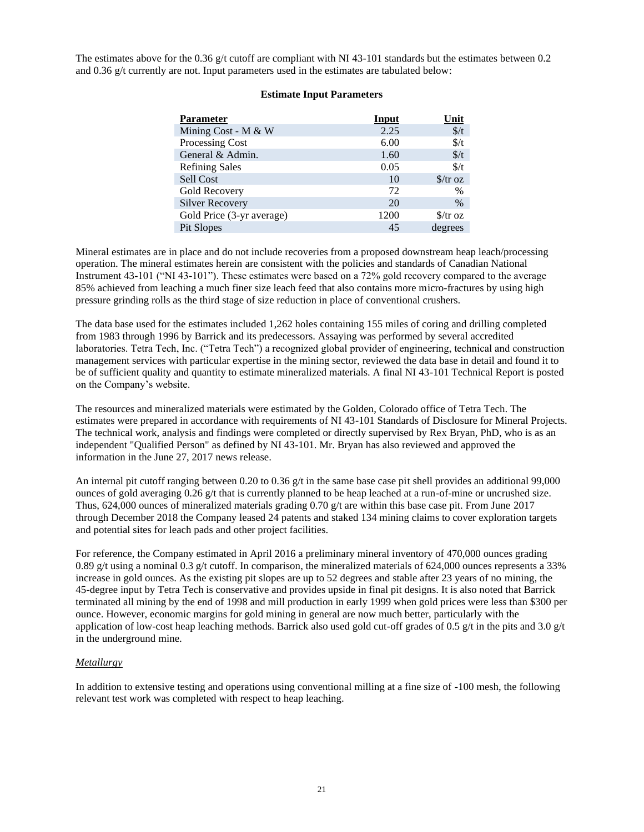The estimates above for the 0.36  $g/t$  cutoff are compliant with NI 43-101 standards but the estimates between 0.2 and 0.36 g/t currently are not. Input parameters used in the estimates are tabulated below:

#### **Estimate Input Parameters**

| <b>Parameter</b>          | <b>Input</b> | Unit                      |
|---------------------------|--------------|---------------------------|
| Mining Cost - M & W       | 2.25         | $\frac{f}{f}$             |
| Processing Cost           | 6.00         | $\frac{f}{f}$             |
| General & Admin.          | 1.60         | $\frac{f}{f}$             |
| <b>Refining Sales</b>     | 0.05         | $\frac{f}{f}$             |
| Sell Cost                 | 10           | $\frac{\sqrt{3}}{10}$     |
| Gold Recovery             | 72           | $\%$                      |
| <b>Silver Recovery</b>    | 20           | $\%$                      |
| Gold Price (3-yr average) | 1200         | $\frac{\int \sqrt{x}}{x}$ |
| Pit Slopes                | 45           | degrees                   |

Mineral estimates are in place and do not include recoveries from a proposed downstream heap leach/processing operation. The mineral estimates herein are consistent with the policies and standards of Canadian National Instrument 43-101 ("NI 43-101"). These estimates were based on a 72% gold recovery compared to the average 85% achieved from leaching a much finer size leach feed that also contains more micro-fractures by using high pressure grinding rolls as the third stage of size reduction in place of conventional crushers.

The data base used for the estimates included 1,262 holes containing 155 miles of coring and drilling completed from 1983 through 1996 by Barrick and its predecessors. Assaying was performed by several accredited laboratories. Tetra Tech, Inc. ("Tetra Tech") a recognized global provider of engineering, technical and construction management services with particular expertise in the mining sector, reviewed the data base in detail and found it to be of sufficient quality and quantity to estimate mineralized materials. A final NI 43-101 Technical Report is posted on the Company's website.

The resources and mineralized materials were estimated by the Golden, Colorado office of Tetra Tech. The estimates were prepared in accordance with requirements of NI 43-101 Standards of Disclosure for Mineral Projects. The technical work, analysis and findings were completed or directly supervised by Rex Bryan, PhD, who is as an independent "Qualified Person" as defined by NI 43-101. Mr. Bryan has also reviewed and approved the information in the June 27, 2017 news release.

An internal pit cutoff ranging between 0.20 to 0.36  $g/t$  in the same base case pit shell provides an additional 99,000 ounces of gold averaging 0.26 g/t that is currently planned to be heap leached at a run-of-mine or uncrushed size. Thus, 624,000 ounces of mineralized materials grading 0.70  $g/t$  are within this base case pit. From June 2017 through December 2018 the Company leased 24 patents and staked 134 mining claims to cover exploration targets and potential sites for leach pads and other project facilities.

For reference, the Company estimated in April 2016 a preliminary mineral inventory of 470,000 ounces grading 0.89 g/t using a nominal 0.3 g/t cutoff. In comparison, the mineralized materials of 624,000 ounces represents a 33% increase in gold ounces. As the existing pit slopes are up to 52 degrees and stable after 23 years of no mining, the 45-degree input by Tetra Tech is conservative and provides upside in final pit designs. It is also noted that Barrick terminated all mining by the end of 1998 and mill production in early 1999 when gold prices were less than \$300 per ounce. However, economic margins for gold mining in general are now much better, particularly with the application of low-cost heap leaching methods. Barrick also used gold cut-off grades of 0.5  $g/t$  in the pits and 3.0  $g/t$ in the underground mine.

#### *Metallurgy*

In addition to extensive testing and operations using conventional milling at a fine size of -100 mesh, the following relevant test work was completed with respect to heap leaching.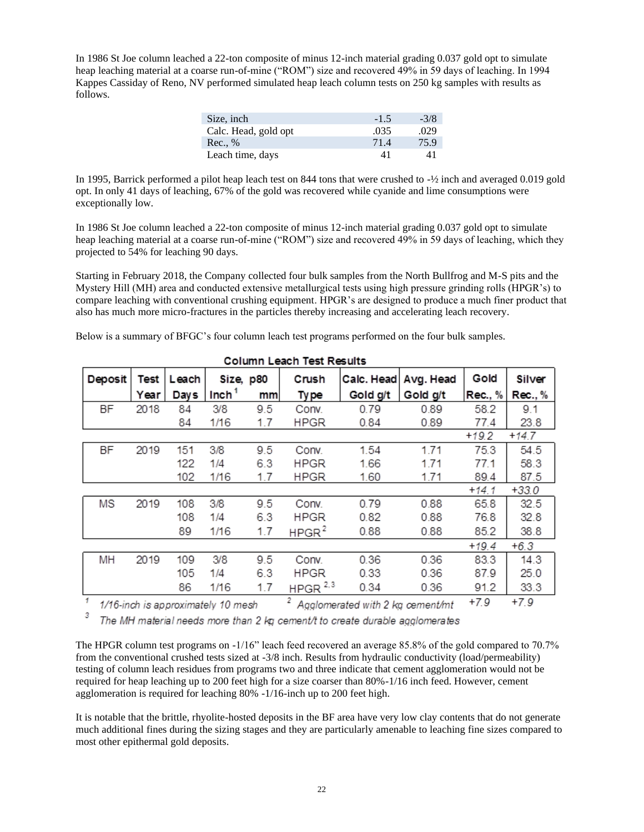In 1986 St Joe column leached a 22-ton composite of minus 12-inch material grading 0.037 gold opt to simulate heap leaching material at a coarse run-of-mine ("ROM") size and recovered 49% in 59 days of leaching. In 1994 Kappes Cassiday of Reno, NV performed simulated heap leach column tests on 250 kg samples with results as follows.

| Size, inch           | $-1.5$ | $-3/8$ |
|----------------------|--------|--------|
| Calc. Head, gold opt | .035   | .029   |
| Rec. %               | 71.4   | 75.9   |
| Leach time, days     | 41     | 41     |

In 1995, Barrick performed a pilot heap leach test on 844 tons that were crushed to -½ inch and averaged 0.019 gold opt. In only 41 days of leaching, 67% of the gold was recovered while cyanide and lime consumptions were exceptionally low.

In 1986 St Joe column leached a 22-ton composite of minus 12-inch material grading 0.037 gold opt to simulate heap leaching material at a coarse run-of-mine ("ROM") size and recovered 49% in 59 days of leaching, which they projected to 54% for leaching 90 days.

Starting in February 2018, the Company collected four bulk samples from the North Bullfrog and M-S pits and the Mystery Hill (MH) area and conducted extensive metallurgical tests using high pressure grinding rolls (HPGR's) to compare leaching with conventional crushing equipment. HPGR's are designed to produce a much finer product that also has much more micro-fractures in the particles thereby increasing and accelerating leach recovery.

Below is a summary of BFGC's four column leach test programs performed on the four bulk samples.

|              | CONINI LEACH TEST RESULTS |       |                                   |     |                   |                                  |           |         |         |  |
|--------------|---------------------------|-------|-----------------------------------|-----|-------------------|----------------------------------|-----------|---------|---------|--|
| Deposit      | Test                      | Leach | Size, p80                         |     | Crush             | Calc. Head                       | Avg. Head | Gold    | Silver  |  |
|              | Year                      | Days  | Inch <sup>1</sup>                 | mm  | Ty pe             | Gold g/t                         | Gold g/t  | Rec., % | Rec., % |  |
| <b>BF</b>    | 2018                      | 84    | 3/8                               | 9.5 | Conv.             | 0.79                             | 0.89      | 58.2    | 9.1     |  |
|              |                           | 84    | 1/16                              | 1.7 | <b>HPGR</b>       | 0.84                             | 0.89      | 77.4    | 23.8    |  |
|              |                           |       |                                   |     |                   |                                  |           | $+19.2$ | $+14.7$ |  |
| BF           | 2019                      | 151   | 3/8                               | 9.5 | Conv.             | 1.54                             | 1.71      | 75.3    | 54.5    |  |
|              |                           | 122   | 1/4                               | 6.3 | HPGR              | 1.66                             | 1.71      | 77.1    | 58.3    |  |
|              |                           | 102   | 1/16                              | 1.7 | <b>HPGR</b>       | 1.60                             | 1.71      | 89.4    | 87.5    |  |
|              |                           |       |                                   |     |                   |                                  |           | $+14.1$ | $+33.0$ |  |
| ΜS           | 2019                      | 108   | 3/8                               | 9.5 | Conv.             | 0.79                             | 0.88      | 65.8    | 32.5    |  |
|              |                           | 108   | 1/4                               | 6.3 | <b>HPGR</b>       | 0.82                             | 0.88      | 76.8    | 32.8    |  |
|              |                           | 89    | 1/16                              | 1.7 | HPGR <sup>2</sup> | 0.88                             | 0.88      | 85.2    | 38.8    |  |
|              |                           |       |                                   |     |                   |                                  |           | $+19.4$ | $+6.3$  |  |
| MН           | 2019                      | 109   | 3/8                               | 9.5 | Conv.             | 0.36                             | 0.36      | 83.3    | 14.3    |  |
|              |                           | 105   | 1/4                               | 6.3 | <b>HPGR</b>       | 0.33                             | 0.36      | 87.9    | 25.0    |  |
|              |                           | 86    | 1/16                              | 1.7 | HPGR $2,3$        | 0.34                             | 0.36      | 91.2    | 33.3    |  |
| $\mathcal I$ |                           |       | 1/16-inch is annovimately 10 mesh |     | 2                 | Analomerated with 2 kg coment/mt |           | $+7.9$  | $+7.9$  |  |

Column Losale Toot Desults

1/16-inch is approximately 10 mesh 4 Agglomerated with 2 kg cement/mt

The MH material needs more than 2 kg cement/t to create durable agglomerates

The HPGR column test programs on -1/16" leach feed recovered an average 85.8% of the gold compared to 70.7% from the conventional crushed tests sized at -3/8 inch. Results from hydraulic conductivity (load/permeability) testing of column leach residues from programs two and three indicate that cement agglomeration would not be required for heap leaching up to 200 feet high for a size coarser than 80%-1/16 inch feed. However, cement agglomeration is required for leaching 80% -1/16-inch up to 200 feet high.

It is notable that the brittle, rhyolite-hosted deposits in the BF area have very low clay contents that do not generate much additional fines during the sizing stages and they are particularly amenable to leaching fine sizes compared to most other epithermal gold deposits.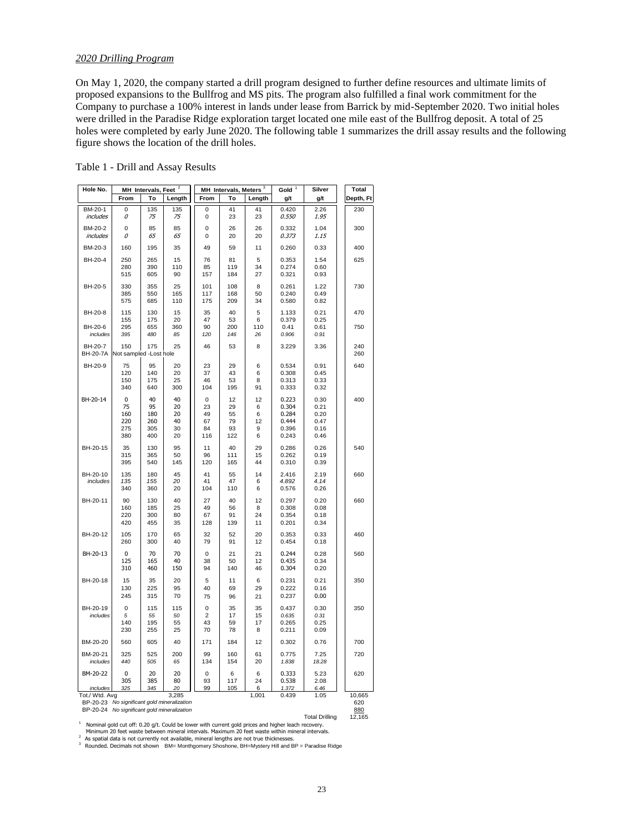# *2020 Drilling Program*

On May 1, 2020, the company started a drill program designed to further define resources and ultimate limits of proposed expansions to the Bullfrog and MS pits. The program also fulfilled a final work commitment for the Company to purchase a 100% interest in lands under lease from Barrick by mid-September 2020. Two initial holes were drilled in the Paradise Ridge exploration target located one mile east of the Bullfrog deposit. A total of 25 holes were completed by early June 2020. The following table 1 summarizes the drill assay results and the following figure shows the location of the drill holes.

| Table 1 - Drill and Assay Results |
|-----------------------------------|
|-----------------------------------|

| Hole No.                   | MH Intervals, Feet <sup>2</sup>     |                                      | MH Intervals, Meters <sup>3</sup>           |                                            | Gold $1$                          | Silver                       | <b>Total</b>                                       |                                              |            |
|----------------------------|-------------------------------------|--------------------------------------|---------------------------------------------|--------------------------------------------|-----------------------------------|------------------------------|----------------------------------------------------|----------------------------------------------|------------|
|                            | From                                | To                                   | Length                                      | From                                       | To                                | Length                       | g/t                                                | g/t                                          | Depth, Ft  |
| BM-20-1<br><i>includes</i> | 0<br>0                              | 135<br>75                            | 135<br>75                                   | $\mathbf 0$<br>0                           | 41<br>23                          | 41<br>23                     | 0.420<br>0.550                                     | 2.26<br>1.95                                 | 230        |
| BM-20-2<br>includes        | 0<br>0                              | 85<br>65                             | 85<br>65                                    | $\mathbf 0$<br>$\mathbf 0$                 | 26<br>20                          | 26<br>20                     | 0.332<br>0.373                                     | 1.04<br>1.15                                 | 300        |
| BM-20-3                    | 160                                 | 195                                  | 35                                          | 49                                         | 59                                | 11                           | 0.260                                              | 0.33                                         | 400        |
| BH-20-4                    | 250<br>280<br>515                   | 265<br>390<br>605                    | 15<br>110<br>90                             | 76<br>85<br>157                            | 81<br>119<br>184                  | 5<br>34<br>27                | 0.353<br>0.274<br>0.321                            | 1.54<br>0.60<br>0.93                         | 625        |
| BH-20-5                    | 330<br>385<br>575                   | 355<br>550<br>685                    | 25<br>165<br>110                            | 101<br>117<br>175                          | 108<br>168<br>209                 | 8<br>50<br>34                | 0.261<br>0.240<br>0.580                            | 1.22<br>0.49<br>0.82                         | 730        |
| BH-20-8                    | 115<br>155                          | 130<br>175                           | 15<br>20                                    | 35<br>47                                   | 40<br>53                          | 5<br>6                       | 1.133<br>0.379                                     | 0.21<br>0.25                                 | 470        |
| BH-20-6<br>includes        | 295<br>395                          | 655<br>480                           | 360<br>85                                   | 90<br>120                                  | 200<br>146                        | 110<br>26                    | 0.41<br>0.906                                      | 0.61<br>0.91                                 | 750        |
| BH-20-7<br><b>BH-20-7A</b> | 150<br>Not sampled -Lost hole       | 175                                  | 25                                          | 46                                         | 53                                | 8                            | 3.229                                              | 3.36                                         | 240<br>260 |
| BH-20-9                    | 75<br>120<br>150<br>340             | 95<br>140<br>175<br>640              | 20<br>20<br>25<br>300                       | 23<br>37<br>46<br>104                      | 29<br>43<br>53<br>195             | 6<br>6<br>8<br>91            | 0.534<br>0.308<br>0.313<br>0.333                   | 0.91<br>0.45<br>0.33<br>0.32                 | 640        |
| BH-20-14                   | 0<br>75<br>160<br>220<br>275<br>380 | 40<br>95<br>180<br>260<br>305<br>400 | 40<br>20<br>20<br>40<br>30<br>20            | $\mathbf 0$<br>23<br>49<br>67<br>84<br>116 | 12<br>29<br>55<br>79<br>93<br>122 | 12<br>6<br>6<br>12<br>9<br>6 | 0.223<br>0.304<br>0.284<br>0.444<br>0.396<br>0.243 | 0.30<br>0.21<br>0.20<br>0.47<br>0.16<br>0.46 | 400        |
| BH-20-15                   | 35<br>315<br>395                    | 130<br>365<br>540                    | 95<br>50<br>145                             | 11<br>96<br>120                            | 40<br>111<br>165                  | 29<br>15<br>44               | 0.286<br>0.262<br>0.310                            | 0.26<br>0.19<br>0.39                         | 540        |
| BH-20-10<br>includes       | 135<br>135<br>340                   | 180<br>155<br>360                    | 45<br>20<br>20                              | 41<br>41<br>104                            | 55<br>47<br>110                   | 14<br>6<br>6                 | 2.416<br>4.892<br>0.576                            | 2.19<br>4.14<br>0.26                         | 660        |
| BH-20-11                   | 90<br>160<br>220<br>420             | 130<br>185<br>300<br>455             | 40<br>25<br>80<br>35                        | 27<br>49<br>67<br>128                      | 40<br>56<br>91<br>139             | 12<br>8<br>24<br>11          | 0.297<br>0.308<br>0.354<br>0.201                   | 0.20<br>0.08<br>0.18<br>0.34                 | 660        |
| BH-20-12                   | 105<br>260                          | 170<br>300                           | 65<br>40                                    | 32<br>79                                   | 52<br>91                          | 20<br>12                     | 0.353<br>0.454                                     | 0.33<br>0.18                                 | 460        |
| BH-20-13                   | 0<br>125<br>310                     | 70<br>165<br>460                     | 70<br>40<br>150                             | 0<br>38<br>94                              | 21<br>50<br>140                   | 21<br>12<br>46               | 0.244<br>0.435<br>0.304                            | 0.28<br>0.34<br>0.20                         | 560        |
| BH-20-18                   | 15<br>130<br>245                    | 35<br>225<br>315                     | 20<br>95<br>70                              | 5<br>40<br>75                              | 11<br>69<br>96                    | 6<br>29<br>21                | 0.231<br>0.222<br>0.237                            | 0.21<br>0.16<br>0.00                         | 350        |
| BH-20-19<br>includes       | $\overline{0}$<br>5<br>140<br>230   | 115<br>55<br>195<br>255              | 115<br>50<br>55<br>25                       | $\mathbf 0$<br>$\overline{2}$<br>43<br>70  | 35<br>17<br>59<br>78              | 35<br>15<br>17<br>8          | 0.437<br>0.635<br>0.265<br>0.211                   | 0.30<br>0.31<br>0.25<br>0.09                 | 350        |
| BM-20-20                   | 560                                 | 605                                  | 40                                          | 171                                        | 184                               | 12                           | 0.302                                              | 0.76                                         | 700        |
| BM-20-21<br>includes       | 325<br>440                          | 525<br>505                           | 200<br>65                                   | 99<br>134                                  | 160<br>154                        | 61<br>20                     | 0.775<br>1.838                                     | 7.25<br>18.28                                | 720        |
| BM-20-22                   | 0<br>305                            | 20<br>385                            | 20<br>80                                    | $\mathbf 0$<br>93                          | 6<br>117                          | 6<br>24                      | 0.333<br>0.538                                     | 5.23<br>2.08                                 | 620        |
| includes<br>Tot./ Wtd. Avg | 325                                 | 345                                  | 20<br>3,285                                 | 99                                         | 105                               | 6<br>1,001                   | 1.372<br>0.439                                     | 6.46<br>1.05                                 | 10,665     |
|                            |                                     |                                      | BP-20-23 No significant gold mineralization |                                            |                                   |                              |                                                    |                                              | 620        |

BP-20-24 *No significant gold mineralization* 880

 $1$  Nominal gold cut off: 0.20 g/t. Could be lower with current gold prices and higher leach recovery.

Minimum 20 feet waste between mineral intervals. Maximum 20 feet waste within mineral intervals.<br><sup>2</sup> As spatial data is not currently not available, mineral lengths are not true thicknesses.

<sup>3</sup> Rounded. Decimals not shown BM= Monthgomery Shoshone, BH=Mystery Hill and BP = Paradise Ridge

**Total Drilling**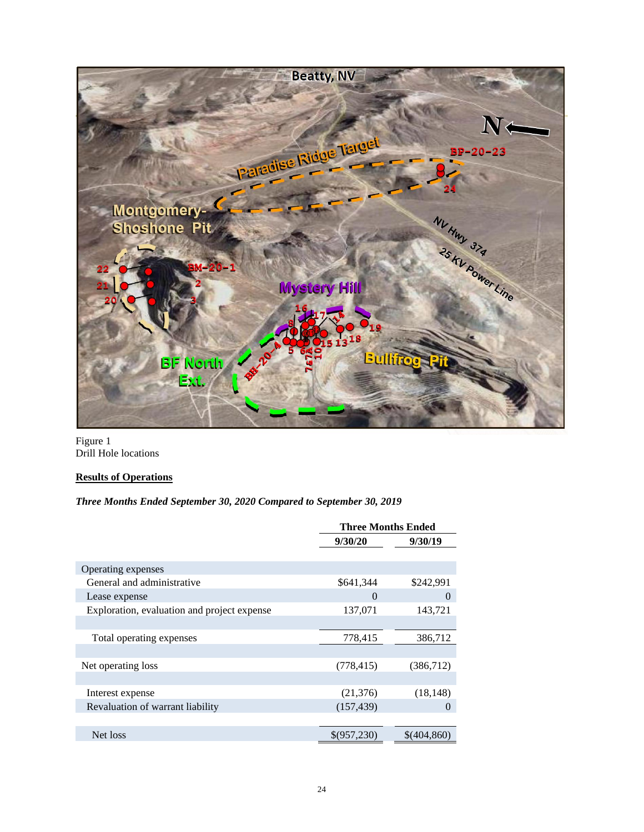

Figure 1 Drill Hole locations

# **Results of Operations**

# *Three Months Ended September 30, 2020 Compared to September 30, 2019*

|                                             | <b>Three Months Ended</b> |             |
|---------------------------------------------|---------------------------|-------------|
|                                             | 9/30/20                   | 9/30/19     |
|                                             |                           |             |
| Operating expenses                          |                           |             |
| General and administrative                  | \$641,344                 | \$242,991   |
| Lease expense                               | $\Omega$                  | $\Omega$    |
| Exploration, evaluation and project expense | 137,071                   | 143,721     |
|                                             |                           |             |
| Total operating expenses                    | 778,415                   | 386,712     |
|                                             |                           |             |
| Net operating loss                          | (778, 415)                | (386,712)   |
|                                             |                           |             |
| Interest expense                            | (21,376)                  | (18, 148)   |
| Revaluation of warrant liability            | (157, 439)                | $\Omega$    |
|                                             |                           |             |
| Net loss                                    | \$(957,230)               | \$(404,860) |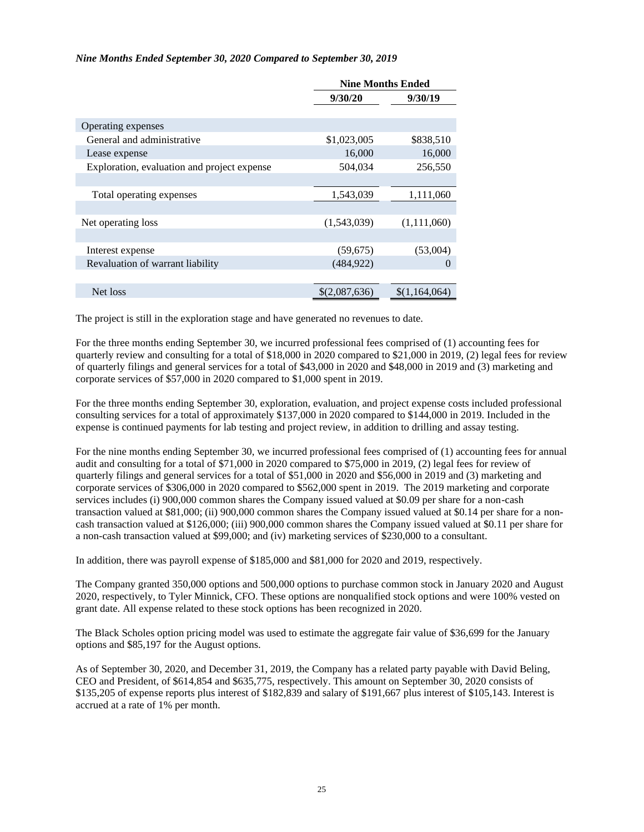#### *Nine Months Ended September 30, 2020 Compared to September 30, 2019*

|                                             | <b>Nine Months Ended</b> |               |
|---------------------------------------------|--------------------------|---------------|
|                                             | 9/30/20                  | 9/30/19       |
|                                             |                          |               |
| Operating expenses                          |                          |               |
| General and administrative                  | \$1,023,005              | \$838,510     |
| Lease expense                               | 16,000                   | 16,000        |
| Exploration, evaluation and project expense | 504,034                  | 256,550       |
|                                             |                          |               |
| Total operating expenses                    | 1,543,039                | 1,111,060     |
|                                             |                          |               |
| Net operating loss                          | (1,543,039)              | (1,111,060)   |
|                                             |                          |               |
| Interest expense                            | (59, 675)                | (53,004)      |
| Revaluation of warrant liability            | (484, 922)               | $\theta$      |
|                                             |                          |               |
| Net loss                                    | \$(2,087,636)            | \$(1,164,064) |

The project is still in the exploration stage and have generated no revenues to date.

For the three months ending September 30, we incurred professional fees comprised of (1) accounting fees for quarterly review and consulting for a total of \$18,000 in 2020 compared to \$21,000 in 2019, (2) legal fees for review of quarterly filings and general services for a total of \$43,000 in 2020 and \$48,000 in 2019 and (3) marketing and corporate services of \$57,000 in 2020 compared to \$1,000 spent in 2019.

For the three months ending September 30, exploration, evaluation, and project expense costs included professional consulting services for a total of approximately \$137,000 in 2020 compared to \$144,000 in 2019. Included in the expense is continued payments for lab testing and project review, in addition to drilling and assay testing.

For the nine months ending September 30, we incurred professional fees comprised of (1) accounting fees for annual audit and consulting for a total of \$71,000 in 2020 compared to \$75,000 in 2019, (2) legal fees for review of quarterly filings and general services for a total of \$51,000 in 2020 and \$56,000 in 2019 and (3) marketing and corporate services of \$306,000 in 2020 compared to \$562,000 spent in 2019. The 2019 marketing and corporate services includes (i) 900,000 common shares the Company issued valued at \$0.09 per share for a non-cash transaction valued at \$81,000; (ii) 900,000 common shares the Company issued valued at \$0.14 per share for a noncash transaction valued at \$126,000; (iii) 900,000 common shares the Company issued valued at \$0.11 per share for a non-cash transaction valued at \$99,000; and (iv) marketing services of \$230,000 to a consultant.

In addition, there was payroll expense of \$185,000 and \$81,000 for 2020 and 2019, respectively.

The Company granted 350,000 options and 500,000 options to purchase common stock in January 2020 and August 2020, respectively, to Tyler Minnick, CFO. These options are nonqualified stock options and were 100% vested on grant date. All expense related to these stock options has been recognized in 2020.

The Black Scholes option pricing model was used to estimate the aggregate fair value of \$36,699 for the January options and \$85,197 for the August options.

As of September 30, 2020, and December 31, 2019, the Company has a related party payable with David Beling, CEO and President, of \$614,854 and \$635,775, respectively. This amount on September 30, 2020 consists of \$135,205 of expense reports plus interest of \$182,839 and salary of \$191,667 plus interest of \$105,143. Interest is accrued at a rate of 1% per month.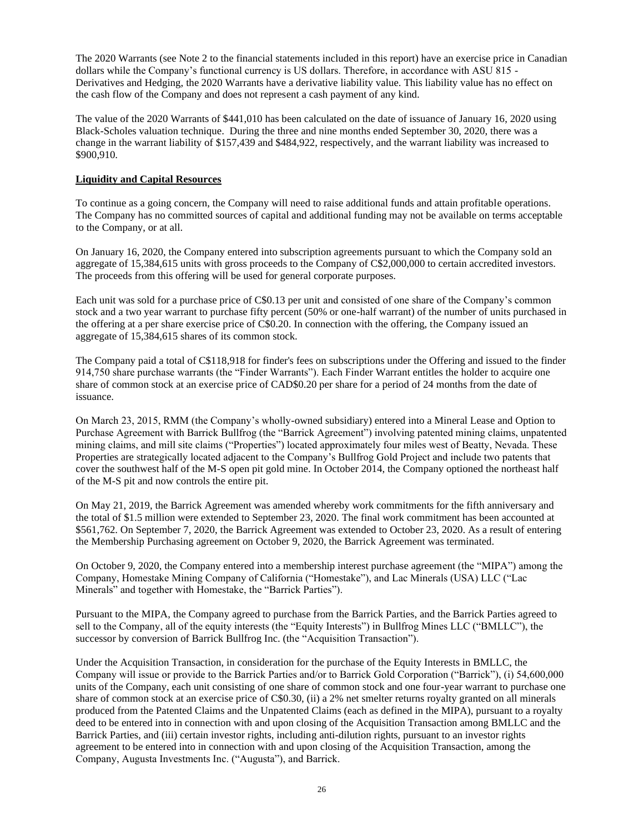The 2020 Warrants (see Note 2 to the financial statements included in this report) have an exercise price in Canadian dollars while the Company's functional currency is US dollars. Therefore, in accordance with ASU 815 - Derivatives and Hedging, the 2020 Warrants have a derivative liability value. This liability value has no effect on the cash flow of the Company and does not represent a cash payment of any kind.

The value of the 2020 Warrants of \$441,010 has been calculated on the date of issuance of January 16, 2020 using Black-Scholes valuation technique. During the three and nine months ended September 30, 2020, there was a change in the warrant liability of \$157,439 and \$484,922, respectively, and the warrant liability was increased to \$900,910.

#### **Liquidity and Capital Resources**

To continue as a going concern, the Company will need to raise additional funds and attain profitable operations. The Company has no committed sources of capital and additional funding may not be available on terms acceptable to the Company, or at all.

On January 16, 2020, the Company entered into subscription agreements pursuant to which the Company sold an aggregate of 15,384,615 units with gross proceeds to the Company of C\$2,000,000 to certain accredited investors. The proceeds from this offering will be used for general corporate purposes.

Each unit was sold for a purchase price of C\$0.13 per unit and consisted of one share of the Company's common stock and a two year warrant to purchase fifty percent (50% or one-half warrant) of the number of units purchased in the offering at a per share exercise price of C\$0.20. In connection with the offering, the Company issued an aggregate of 15,384,615 shares of its common stock.

The Company paid a total of C\$118,918 for finder's fees on subscriptions under the Offering and issued to the finder 914,750 share purchase warrants (the "Finder Warrants"). Each Finder Warrant entitles the holder to acquire one share of common stock at an exercise price of CAD\$0.20 per share for a period of 24 months from the date of issuance.

On March 23, 2015, RMM (the Company's wholly-owned subsidiary) entered into a Mineral Lease and Option to Purchase Agreement with Barrick Bullfrog (the "Barrick Agreement") involving patented mining claims, unpatented mining claims, and mill site claims ("Properties") located approximately four miles west of Beatty, Nevada. These Properties are strategically located adjacent to the Company's Bullfrog Gold Project and include two patents that cover the southwest half of the M-S open pit gold mine. In October 2014, the Company optioned the northeast half of the M-S pit and now controls the entire pit.

On May 21, 2019, the Barrick Agreement was amended whereby work commitments for the fifth anniversary and the total of \$1.5 million were extended to September 23, 2020. The final work commitment has been accounted at \$561,762. On September 7, 2020, the Barrick Agreement was extended to October 23, 2020. As a result of entering the Membership Purchasing agreement on October 9, 2020, the Barrick Agreement was terminated.

On October 9, 2020, the Company entered into a membership interest purchase agreement (the "MIPA") among the Company, Homestake Mining Company of California ("Homestake"), and Lac Minerals (USA) LLC ("Lac Minerals" and together with Homestake, the "Barrick Parties").

Pursuant to the MIPA, the Company agreed to purchase from the Barrick Parties, and the Barrick Parties agreed to sell to the Company, all of the equity interests (the "Equity Interests") in Bullfrog Mines LLC ("BMLLC"), the successor by conversion of Barrick Bullfrog Inc. (the "Acquisition Transaction").

Under the Acquisition Transaction, in consideration for the purchase of the Equity Interests in BMLLC, the Company will issue or provide to the Barrick Parties and/or to Barrick Gold Corporation ("Barrick"), (i) 54,600,000 units of the Company, each unit consisting of one share of common stock and one four-year warrant to purchase one share of common stock at an exercise price of C\$0.30, (ii) a 2% net smelter returns royalty granted on all minerals produced from the Patented Claims and the Unpatented Claims (each as defined in the MIPA), pursuant to a royalty deed to be entered into in connection with and upon closing of the Acquisition Transaction among BMLLC and the Barrick Parties, and (iii) certain investor rights, including anti-dilution rights, pursuant to an investor rights agreement to be entered into in connection with and upon closing of the Acquisition Transaction, among the Company, Augusta Investments Inc. ("Augusta"), and Barrick.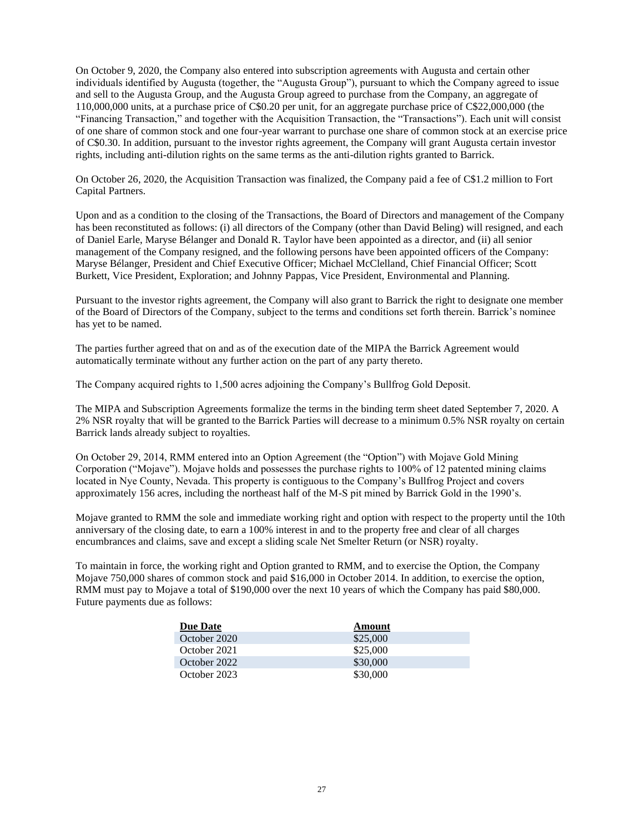On October 9, 2020, the Company also entered into subscription agreements with Augusta and certain other individuals identified by Augusta (together, the "Augusta Group"), pursuant to which the Company agreed to issue and sell to the Augusta Group, and the Augusta Group agreed to purchase from the Company, an aggregate of 110,000,000 units, at a purchase price of C\$0.20 per unit, for an aggregate purchase price of C\$22,000,000 (the "Financing Transaction," and together with the Acquisition Transaction, the "Transactions"). Each unit will consist of one share of common stock and one four-year warrant to purchase one share of common stock at an exercise price of C\$0.30. In addition, pursuant to the investor rights agreement, the Company will grant Augusta certain investor rights, including anti-dilution rights on the same terms as the anti-dilution rights granted to Barrick.

On October 26, 2020, the Acquisition Transaction was finalized, the Company paid a fee of C\$1.2 million to Fort Capital Partners.

Upon and as a condition to the closing of the Transactions, the Board of Directors and management of the Company has been reconstituted as follows: (i) all directors of the Company (other than David Beling) will resigned, and each of Daniel Earle, Maryse Bélanger and Donald R. Taylor have been appointed as a director, and (ii) all senior management of the Company resigned, and the following persons have been appointed officers of the Company: Maryse Bélanger, President and Chief Executive Officer; Michael McClelland, Chief Financial Officer; Scott Burkett, Vice President, Exploration; and Johnny Pappas, Vice President, Environmental and Planning.

Pursuant to the investor rights agreement, the Company will also grant to Barrick the right to designate one member of the Board of Directors of the Company, subject to the terms and conditions set forth therein. Barrick's nominee has yet to be named.

The parties further agreed that on and as of the execution date of the MIPA the Barrick Agreement would automatically terminate without any further action on the part of any party thereto.

The Company acquired rights to 1,500 acres adjoining the Company's Bullfrog Gold Deposit.

The MIPA and Subscription Agreements formalize the terms in the binding term sheet dated September 7, 2020. A 2% NSR royalty that will be granted to the Barrick Parties will decrease to a minimum 0.5% NSR royalty on certain Barrick lands already subject to royalties.

On October 29, 2014, RMM entered into an Option Agreement (the "Option") with Mojave Gold Mining Corporation ("Mojave"). Mojave holds and possesses the purchase rights to 100% of 12 patented mining claims located in Nye County, Nevada. This property is contiguous to the Company's Bullfrog Project and covers approximately 156 acres, including the northeast half of the M-S pit mined by Barrick Gold in the 1990's.

Mojave granted to RMM the sole and immediate working right and option with respect to the property until the 10th anniversary of the closing date, to earn a 100% interest in and to the property free and clear of all charges encumbrances and claims, save and except a sliding scale Net Smelter Return (or NSR) royalty.

To maintain in force, the working right and Option granted to RMM, and to exercise the Option, the Company Mojave 750,000 shares of common stock and paid \$16,000 in October 2014. In addition, to exercise the option, RMM must pay to Mojave a total of \$190,000 over the next 10 years of which the Company has paid \$80,000. Future payments due as follows:

| <b>Due Date</b> | Amount   |
|-----------------|----------|
| October 2020    | \$25,000 |
| October 2021    | \$25,000 |
| October 2022    | \$30,000 |
| October 2023    | \$30,000 |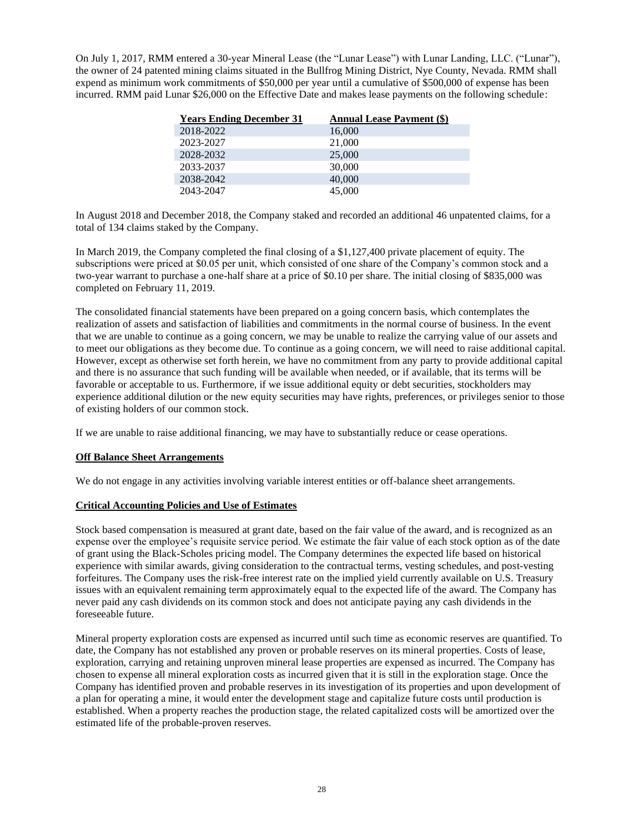On July 1, 2017, RMM entered a 30-year Mineral Lease (the "Lunar Lease") with Lunar Landing, LLC. ("Lunar"), the owner of 24 patented mining claims situated in the Bullfrog Mining District, Nye County, Nevada. RMM shall expend as minimum work commitments of \$50,000 per year until a cumulative of \$500,000 of expense has been incurred. RMM paid Lunar \$26,000 on the Effective Date and makes lease payments on the following schedule:

| <b>Years Ending December 31</b> | <b>Annual Lease Payment (\$)</b> |
|---------------------------------|----------------------------------|
| 2018-2022                       | 16,000                           |
| 2023-2027                       | 21,000                           |
| 2028-2032                       | 25,000                           |
| 2033-2037                       | 30,000                           |
| 2038-2042                       | 40,000                           |
| 2043-2047                       | 45,000                           |

In August 2018 and December 2018, the Company staked and recorded an additional 46 unpatented claims, for a total of 134 claims staked by the Company.

In March 2019, the Company completed the final closing of a \$1,127,400 private placement of equity. The subscriptions were priced at \$0.05 per unit, which consisted of one share of the Company's common stock and a two-year warrant to purchase a one-half share at a price of \$0.10 per share. The initial closing of \$835,000 was completed on February 11, 2019.

The consolidated financial statements have been prepared on a going concern basis, which contemplates the realization of assets and satisfaction of liabilities and commitments in the normal course of business. In the event that we are unable to continue as a going concern, we may be unable to realize the carrying value of our assets and to meet our obligations as they become due. To continue as a going concern, we will need to raise additional capital. However, except as otherwise set forth herein, we have no commitment from any party to provide additional capital and there is no assurance that such funding will be available when needed, or if available, that its terms will be favorable or acceptable to us. Furthermore, if we issue additional equity or debt securities, stockholders may experience additional dilution or the new equity securities may have rights, preferences, or privileges senior to those of existing holders of our common stock.

If we are unable to raise additional financing, we may have to substantially reduce or cease operations.

#### **Off Balance Sheet Arrangements**

We do not engage in any activities involving variable interest entities or off-balance sheet arrangements.

#### **Critical Accounting Policies and Use of Estimates**

Stock based compensation is measured at grant date, based on the fair value of the award, and is recognized as an expense over the employee's requisite service period. We estimate the fair value of each stock option as of the date of grant using the Black-Scholes pricing model. The Company determines the expected life based on historical experience with similar awards, giving consideration to the contractual terms, vesting schedules, and post-vesting forfeitures. The Company uses the risk-free interest rate on the implied yield currently available on U.S. Treasury issues with an equivalent remaining term approximately equal to the expected life of the award. The Company has never paid any cash dividends on its common stock and does not anticipate paying any cash dividends in the foreseeable future.

Mineral property exploration costs are expensed as incurred until such time as economic reserves are quantified. To date, the Company has not established any proven or probable reserves on its mineral properties. Costs of lease, exploration, carrying and retaining unproven mineral lease properties are expensed as incurred. The Company has chosen to expense all mineral exploration costs as incurred given that it is still in the exploration stage. Once the Company has identified proven and probable reserves in its investigation of its properties and upon development of a plan for operating a mine, it would enter the development stage and capitalize future costs until production is established. When a property reaches the production stage, the related capitalized costs will be amortized over the estimated life of the probable-proven reserves.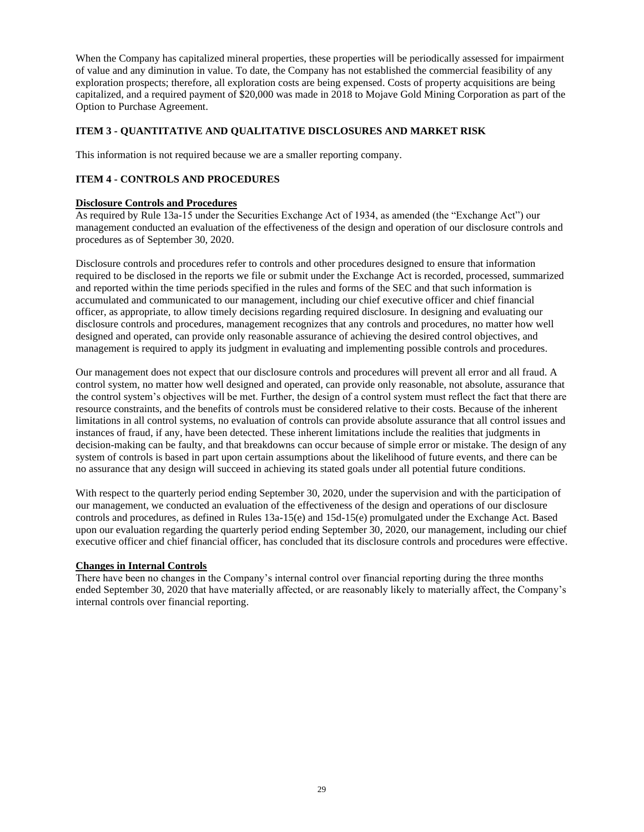When the Company has capitalized mineral properties, these properties will be periodically assessed for impairment of value and any diminution in value. To date, the Company has not established the commercial feasibility of any exploration prospects; therefore, all exploration costs are being expensed. Costs of property acquisitions are being capitalized, and a required payment of \$20,000 was made in 2018 to Mojave Gold Mining Corporation as part of the Option to Purchase Agreement.

# <span id="page-28-0"></span>**ITEM 3 - QUANTITATIVE AND QUALITATIVE DISCLOSURES AND MARKET RISK**

This information is not required because we are a smaller reporting company.

# <span id="page-28-1"></span>**ITEM 4 - CONTROLS AND PROCEDURES**

#### **Disclosure Controls and Procedures**

As required by Rule 13a-15 under the Securities Exchange Act of 1934, as amended (the "Exchange Act") our management conducted an evaluation of the effectiveness of the design and operation of our disclosure controls and procedures as of September 30, 2020.

Disclosure controls and procedures refer to controls and other procedures designed to ensure that information required to be disclosed in the reports we file or submit under the Exchange Act is recorded, processed, summarized and reported within the time periods specified in the rules and forms of the SEC and that such information is accumulated and communicated to our management, including our chief executive officer and chief financial officer, as appropriate, to allow timely decisions regarding required disclosure. In designing and evaluating our disclosure controls and procedures, management recognizes that any controls and procedures, no matter how well designed and operated, can provide only reasonable assurance of achieving the desired control objectives, and management is required to apply its judgment in evaluating and implementing possible controls and procedures.

Our management does not expect that our disclosure controls and procedures will prevent all error and all fraud. A control system, no matter how well designed and operated, can provide only reasonable, not absolute, assurance that the control system's objectives will be met. Further, the design of a control system must reflect the fact that there are resource constraints, and the benefits of controls must be considered relative to their costs. Because of the inherent limitations in all control systems, no evaluation of controls can provide absolute assurance that all control issues and instances of fraud, if any, have been detected. These inherent limitations include the realities that judgments in decision-making can be faulty, and that breakdowns can occur because of simple error or mistake. The design of any system of controls is based in part upon certain assumptions about the likelihood of future events, and there can be no assurance that any design will succeed in achieving its stated goals under all potential future conditions.

With respect to the quarterly period ending September 30, 2020, under the supervision and with the participation of our management, we conducted an evaluation of the effectiveness of the design and operations of our disclosure controls and procedures, as defined in Rules 13a-15(e) and 15d-15(e) promulgated under the Exchange Act. Based upon our evaluation regarding the quarterly period ending September 30, 2020, our management, including our chief executive officer and chief financial officer, has concluded that its disclosure controls and procedures were effective.

#### **Changes in Internal Controls**

There have been no changes in the Company's internal control over financial reporting during the three months ended September 30, 2020 that have materially affected, or are reasonably likely to materially affect, the Company's internal controls over financial reporting.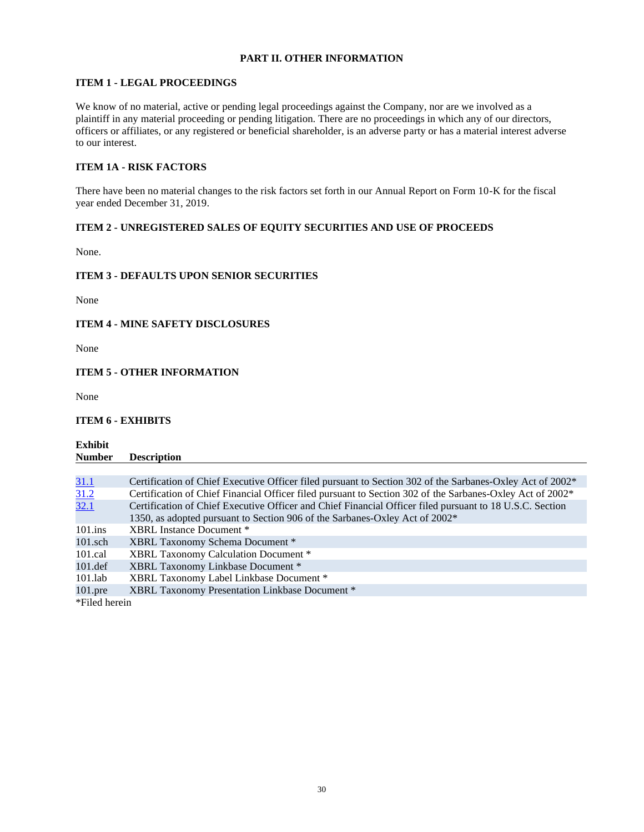# **PART II. OTHER INFORMATION**

# <span id="page-29-1"></span><span id="page-29-0"></span>**ITEM 1 - LEGAL PROCEEDINGS**

We know of no material, active or pending legal proceedings against the Company, nor are we involved as a plaintiff in any material proceeding or pending litigation. There are no proceedings in which any of our directors, officers or affiliates, or any registered or beneficial shareholder, is an adverse party or has a material interest adverse to our interest.

# <span id="page-29-2"></span>**ITEM 1A - RISK FACTORS**

There have been no material changes to the risk factors set forth in our Annual Report on Form 10-K for the fiscal year ended December 31, 2019.

# <span id="page-29-3"></span>**ITEM 2 - UNREGISTERED SALES OF EQUITY SECURITIES AND USE OF PROCEEDS**

None.

#### <span id="page-29-4"></span>**ITEM 3 - DEFAULTS UPON SENIOR SECURITIES**

None

# <span id="page-29-5"></span>**ITEM 4 - MINE SAFETY DISCLOSURES**

None

#### <span id="page-29-6"></span>**ITEM 5 - OTHER INFORMATION**

None

#### <span id="page-29-7"></span>**ITEM 6 - EXHIBITS**

**Exhibit Number Description**

| <u>31.1</u>   | Certification of Chief Executive Officer filed pursuant to Section 302 of the Sarbanes-Oxley Act of 2002 <sup>*</sup> |
|---------------|-----------------------------------------------------------------------------------------------------------------------|
| 31.2          | Certification of Chief Financial Officer filed pursuant to Section 302 of the Sarbanes-Oxley Act of 2002*             |
| 32.1          | Certification of Chief Executive Officer and Chief Financial Officer filed pursuant to 18 U.S.C. Section              |
|               | 1350, as adopted pursuant to Section 906 of the Sarbanes-Oxley Act of 2002*                                           |
| $101$ .ins    | XBRL Instance Document *                                                                                              |
| $101$ .sch    | XBRL Taxonomy Schema Document *                                                                                       |
| $101$ .cal    | XBRL Taxonomy Calculation Document *                                                                                  |
| $101.$ def    | XBRL Taxonomy Linkbase Document *                                                                                     |
| $101$ .lab    | XBRL Taxonomy Label Linkbase Document *                                                                               |
| $101$ .pre    | XBRL Taxonomy Presentation Linkbase Document *                                                                        |
| *Filed herein |                                                                                                                       |